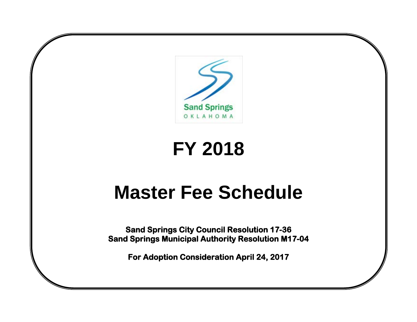

# **FY 2018**

# **Master Fee Schedule**

**Sand Springs City Council Resolution 17-36 Sand Springs Municipal Authority Resolution M17-04** 

**For Adoption Consideration April 24, 2017**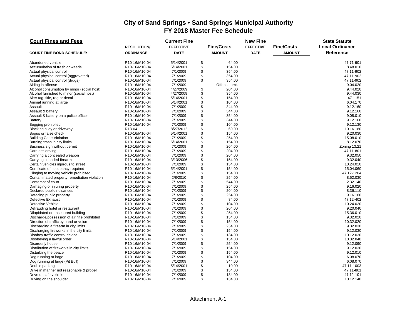| <b>Court Fines and Fees</b>                  |                                         | <b>Current Fine</b> |                   | <b>New Fine</b>  |                   | <b>State Statute</b>   |
|----------------------------------------------|-----------------------------------------|---------------------|-------------------|------------------|-------------------|------------------------|
|                                              | <b>RESOLUTION/</b>                      | <b>EFFECTIVE</b>    | <b>Fine/Costs</b> | <b>EFFECTIVE</b> | <b>Fine/Costs</b> | <b>Local Ordinance</b> |
| <b>COURT FINE BOND SCHEDULE:</b>             | <b>ORDINANCE</b>                        | <b>DATE</b>         | <b>AMOUNT</b>     | <b>DATE</b>      | <b>AMOUNT</b>     | <b>Reference</b>       |
| Abandoned vehicle                            | R10-16/M10-04                           | 5/14/2001           | \$<br>64.00       |                  |                   | 47 71-901              |
| Accumulation of trash or weeds               | R10-16/M10-04                           | 5/14/2001           | \$<br>154.00      |                  |                   | 8.48.010               |
| Actual physical control                      | R10-16/M10-04                           | 7/1/2009            | \$<br>354.00      |                  |                   | 47 11-902              |
| Actual physical control (aggravated)         | R <sub>10</sub> -16/M <sub>10</sub> -04 | 7/1/2009            | \$<br>354.00      |                  |                   | 47 11-902              |
| Actual physical control (drugs)              | R10-16/M10-04                           | 7/1/2009            | \$<br>354.00      |                  |                   | 47 11-902              |
| Aiding in offense                            | R10-16/M10-04                           | 7/1/2009            | Offense amt.      |                  |                   | 9.04.020               |
| Alcohol consumption by minor (social host)   | R10-16/M10-04                           | 4/27/2009           | \$<br>204.00      |                  |                   | 9.44.020               |
| Alcohol furnished to minor (social host)     | R10-16/M10-04                           | 4/27/2009           | \$<br>354.00      |                  |                   | 9.44.030               |
| Alter tag, title, reg or decal               | R10-16/M10-04                           | 5/14/2001           | \$<br>154.00      |                  |                   | 47 1151                |
| Animal running at large                      | R10-16/M10-04                           | 5/14/2001           | \$<br>104.00      |                  |                   | 6.04.170               |
| Assault                                      | R10-16/M10-04                           | 7/1/2009            | \$<br>344.00      |                  |                   | 9.12.160               |
| Assault & battery                            | R10-16/M10-04                           | 7/1/2009            | \$<br>344.00      |                  |                   | 9.12.160               |
| Assault & battery on a police officer        | R10-16/M10-04                           | 7/1/2009            | \$<br>354.00      |                  |                   | 9.08.010               |
| Battery                                      | R10-16/M10-04                           | 7/1/2009            | \$<br>344.00      |                  |                   | 9.12.160               |
| Begging prohibited                           | R10-16/M10-04                           | 7/1/2009            | \$<br>104.00      |                  |                   | 9.12.130               |
| Blocking alley or driveway                   | R13-04                                  | 8/27/2012           | \$<br>60.00       |                  |                   | 10.16.180              |
| Bogus or false check                         | R10-16/M10-04                           | 5/14/2001           | \$<br>154.00      |                  |                   | 9.20.030               |
| <b>Building Code Violation</b>               | R10-16/M10-04                           | 7/1/2009            | \$<br>254.00      |                  |                   | 15.08.010              |
| Burning trash in city limits                 | R10-16/M10-04                           | 5/14/2001           | \$<br>154.00      |                  |                   | 8.12.070               |
| Business sign without permit                 | R10-16/M10-04                           | 7/1/2009            | \$<br>204.00      |                  |                   | Zoning 13.21           |
| Careless driving                             | R10-16/M10-04                           | 7/1/2009            | \$<br>204.00      |                  |                   | 47 11-801              |
| Carrying a concealed weapon                  | R10-16/M10-04                           | 7/1/2009            | \$<br>204.00      |                  |                   | 9.32.050               |
| Carrying a loaded firearm                    | R10-16/M10-04                           | 3/13/2006           | \$<br>154.00      |                  |                   | 9.32.040               |
| Certain vehicles injurous to street          | R10-16/M10-04                           | 7/1/2009            | \$<br>154.00      |                  |                   | 10.24.010              |
| Certificate of occupancy required            | R10-16/M10-04                           | 5/14/2001           | \$<br>154.00      |                  |                   | 15.04.060              |
| Clinging to moving vehicle prohibited        | R10-16/M10-04                           | 7/1/2009            | \$<br>154.00      |                  |                   | 47 12-1204             |
| Contaminated property remediation violation  | R10-16/M10-04                           | 2/8/2010            | \$<br>254.00      |                  |                   | 8.52.030               |
| Contempt of court                            | R10-16/M10-04                           | 7/1/2009            | \$<br>544.00      |                  |                   | 2.32.140               |
| Damaging or injuring property                | R10-16/M10-04                           | 7/1/2009            | \$<br>254.00      |                  |                   | 9.16.020               |
| Declared public nuisances                    | R10-16/M10-04                           | 7/1/2009            | \$<br>204.00      |                  |                   | 8.36.110               |
| Defacing public property                     | R10-16/M10-04                           | 7/1/2009            | \$<br>254.00      |                  |                   | 9.16.160               |
| Defective Exhaust                            | R10-16/M10-04                           | 7/1/2009            | \$<br>84.00       |                  |                   | 47 12-402              |
| Defective Vehicle                            | R10-16/M10-04                           | 7/1/2009            | \$<br>104.00      |                  |                   | 10.24.020              |
| Defrauding hotel or restaurant               | R10-16/M10-04                           | 7/1/2009            | \$<br>204.00      |                  |                   | 9.20.040               |
| Dilapidated or unsecured building            | R10-16/M10-04                           | 7/1/2009            | \$<br>254.00      |                  |                   | 15.36.010              |
| Discharge/possession of air rifle prohibited | R10-16/M10-04                           | 7/1/2009            | \$<br>154.00      |                  |                   | 9.32.020               |
| Direction of traffic by hand or voice        | R10-16/M10-04                           | 7/1/2009            | \$<br>154.00      |                  |                   | 10.32.020              |
| Discharging a firearm in city limits         | R10-16/M10-04                           | 7/1/2009            | \$<br>254.00      |                  |                   | 9.32.030               |
| Discharging fireworks in the city limits     | R10-16/M10-04                           | 7/1/2009            | \$<br>154.00      |                  |                   | 9.12.030               |
| Disobey traffic control device               | R10-16/M10-04                           | 7/1/2009            | \$<br>134.00      |                  |                   | 10.12.030              |
| Disobeying a lawful order                    | R10-16/M10-04                           | 5/14/2001           | \$<br>154.00      |                  |                   | 10.32.040              |
| Disorderly house                             | R10-16/M10-04                           | 7/1/2009            | \$<br>254.00      |                  |                   | 9.12.090               |
| Distribution of fireworks in city limits     | R10-16/M10-04                           | 7/1/2009            | \$<br>154.00      |                  |                   | 9.12.030               |
| Disturbing the peace                         | R10-16/M10-04                           | 7/1/2009            | \$<br>154.00      |                  |                   | 9.12.010               |
| Dog running at large                         | R10-16/M10-04                           | 7/1/2009            | \$<br>104.00      |                  |                   | 6.08.070               |
| Dog running at large (Pit Bull)              | R10-16/M10-04                           | 7/1/2009            | \$<br>344.00      |                  |                   | 6.08.070               |
| Double parking                               | R10-16/M10-04                           | 5/14/2001           | \$<br>10.00       |                  |                   | 47 11-1003             |
| Drive in manner not reasonable & proper      | R10-16/M10-04                           | 7/1/2009            | \$<br>154.00      |                  |                   | 47 11-801              |
| Drive unsafe vehicle                         | R10-16/M10-04                           | 7/1/2009            | \$<br>134.00      |                  |                   | 47 12-101              |
| Driving on the shoulder                      | R10-16/M10-04                           | 7/1/2009            | \$<br>134.00      |                  |                   | 10.12.140              |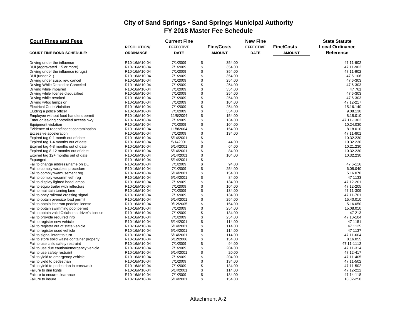| <b>Court Fines and Fees</b>                    |                                         | <b>Current Fine</b> |                   | <b>New Fine</b>  |                   | <b>State Statute</b>   |
|------------------------------------------------|-----------------------------------------|---------------------|-------------------|------------------|-------------------|------------------------|
|                                                | <b>RESOLUTION/</b>                      | <b>EFFECTIVE</b>    | <b>Fine/Costs</b> | <b>EFFECTIVE</b> | <b>Fine/Costs</b> | <b>Local Ordinance</b> |
| <b>COURT FINE BOND SCHEDULE:</b>               | <b>ORDINANCE</b>                        | <b>DATE</b>         | <b>AMOUNT</b>     | <b>DATE</b>      | <b>AMOUNT</b>     | <b>Reference</b>       |
| Driving under the influence                    | R10-16/M10-04                           | 7/1/2009            | \$<br>354.00      |                  |                   | 47 11-902              |
| DUI (aggravated .15 or more)                   | R10-16/M10-04                           | 7/1/2009            | \$<br>354.00      |                  |                   | 47 11-902              |
| Driving under the influence (drugs)            | R10-16/M10-04                           | 7/1/2009            | \$<br>354.00      |                  |                   | 47 11-902              |
| DUI (under 21)                                 | R <sub>10</sub> -16/M <sub>10</sub> -04 | 7/1/2009            | \$<br>354.00      |                  |                   | 47 6-106               |
| Driving under susp, rev, cancel                | R10-16/M10-04                           | 7/1/2009            | \$<br>254.00      |                  |                   | 47 6-303               |
| Driving While Denied or Canceled               | R10-16/M10-04                           | 7/1/2009            | \$<br>254.00      |                  |                   | 47 6-303               |
| Driving while impaired                         | R10-16/M10-04                           | 7/1/2009            | \$<br>354.00      |                  |                   | 47761                  |
| Driving while license disqualified             | R10-16/M10-04                           | 7/1/2009            | \$<br>254.00      |                  |                   | 47 6-303               |
| Driving while revoked                          | R10-16/M10-04                           | 7/1/2009            | \$<br>254.00      |                  |                   | 47 6-303               |
| Driving w/fog lamps on                         | R10-16/M10-04                           | 7/1/2009            | \$<br>104.00      |                  |                   | 47 12-217              |
| <b>Electrical Code Violation</b>               | R10-16/M10-04                           | 7/1/2009            | \$<br>254.00      |                  |                   | 15.16.140              |
| Eluding a police officer                       | R10-16/M10-04                           | 7/1/2009            | \$<br>354.00      |                  |                   | 9.08.130               |
| Employee without food handlers permit          | R10-16/M10-04                           | 11/8/2004           | \$<br>154.00      |                  |                   | 8.18.010               |
| Enter or leaving controlled access hwy         | R10-16/M10-04                           | 7/1/2009            | \$<br>134.00      |                  |                   | 47 11-1302             |
| Equipment violation                            | R10-16/M10-04                           | 7/1/2009            | \$<br>104.00      |                  |                   | 10.24.030              |
| Evidence of rodent/insect contamination        | R10-16/M10-04                           | 11/8/2004           | \$<br>154.00      |                  |                   | 8.18.010               |
| Excessive acceleration                         | R10-16/M10-04                           | 7/1/2009            | \$<br>134.00      |                  |                   | 47 11-801              |
| Expired tag 0-1 month out of date              | R10-16/M10-04                           | 5/14/2001           | \$                |                  |                   | 10.32.230              |
| Expired tag 1-4 months out of date             | R10-16/M10-04                           | 5/142001            | \$<br>44.00       |                  |                   | 10.32.230              |
| Expired tag 4-8 months out of date             | R10-16/M10-04                           | 5/14/2001           | \$<br>64.00       |                  |                   | 10.21.230              |
| Expired tag 8-12 months out of date            | R10-16/M10-04                           | 5/14/2001           | \$<br>84.00       |                  |                   | 10.32.230              |
| Expired tag 12+ months out of date             | R10-16/M10-04                           | 5/14/2001           | \$<br>104.00      |                  |                   | 10.32.230              |
| Expunged                                       | R10-16/M10-04                           | 5/14/2001           | \$                |                  |                   |                        |
| Fail to change address/name on DL              | R10-16/M10-04                           | 7/1/2009            | \$<br>94.00       |                  |                   | 47 6-116               |
| Fail to comply w/rabies procedure              | R10-16/M10-04                           | 7/1/2009            | \$<br>254.00      |                  |                   | 6.08.040               |
| Fail to comply w/amusement reg                 | R10-16/M10-04                           | 5/14/2001           | \$<br>154.00      |                  |                   | 5.16.070               |
| Fail to comply w/comm veh reg                  | R10-16/M10-04                           | 5/14/2001           | \$<br>84.00       |                  |                   | 47 1133                |
| Fail to display lighted head lamps             | R10-16/M10-04                           | 7/1/2009            | \$<br>134.00      |                  |                   | 47 12-201              |
| Fail to equip trailer with reflectors          | R10-16/M10-04                           | 7/1/2009            | \$<br>104.00      |                  |                   | 47 12-205              |
| Fail to maintain turning lane                  | R10-16/M10-04                           | 7/1/2009            | \$<br>134.00      |                  |                   | 47 11-309              |
| Fail to obey railroad crossing signal          | R10-16/M10-04                           | 7/1/2009            | \$<br>134.00      |                  |                   | 47 11-701              |
| Fail to obtain oversize load permit            | R10-16/M10-04                           | 5/14/2001           | \$<br>254.00      |                  |                   | 15.40.010              |
| Fail to obtain itinerant peddler license       | R <sub>10</sub> -16/M <sub>10</sub> -04 | 9/12/2005           | \$<br>154.00      |                  |                   | 5.16.050               |
| Fail to obtain swimming pool permit            | R10-16/M10-04                           | 7/1/2009            | \$<br>254.00      |                  |                   | 15.08.010              |
| Fail to obtain valid Oklahoma driver's license | R10-16/M10-04                           | 7/1/2009            | \$<br>134.00      |                  |                   | 47 213                 |
| Fail to provide required info                  | R10-16/M10-04                           | 7/1/2009            | \$<br>254.00      |                  |                   | 47 10-104              |
| Fail to register new vehicle                   | R10-16/M10-04                           | 5/14/2001           | \$<br>114.00      |                  |                   | 47 1151                |
| Fail to register out of state vehicle          | R10-16/M10-04                           | 5/14/2001           | \$<br>114.00      |                  |                   | 47 1125                |
| Fail to register used vehicle                  | R10-16/M10-04                           | 5/14/2001           | \$<br>114.00      |                  |                   | 47 1137                |
| Fail to signal intent to turn                  | R10-16/M10-04                           | 5/14/2001           | \$<br>114.00      |                  |                   | 47 11-604              |
| Fail to store solid waste container properly   | R10-16/M10-04                           | 6/12/2006           | \$<br>154.00      |                  |                   | 8.16.055               |
| Fail to use child safety restraint             | R10-16/M10-04                           | 7/1/2009            | \$<br>94.00       |                  |                   | 47 11-1112             |
| Fail to use due caution/emergency vehicle      | R10-16/M10-04                           | 7/1/2009            | \$<br>204.00      |                  |                   | 47 11-314              |
| Fail to use safety restraint                   | R10-16/M10-04                           | 5/14/2001           | \$<br>20.00       |                  |                   | 47 12-417              |
| Fail to yield to emergency vehicle             | R10-16/M10-04                           | 7/1/2009            | \$<br>204.00      |                  |                   | 47 11-405              |
| Fail to yield to pedestrian                    | R10-16/M10-04                           | 7/1/2009            | \$<br>134.00      |                  |                   | 47 11-502              |
| Fail to yield to pedestrian in crosswalk       | R10-16/M10-04                           | 7/1/2009            | \$<br>134.00      |                  |                   | 47 11-502              |
| Failure to dim lights                          | R10-16/M10-04                           | 5/14/2001           | \$<br>114.00      |                  |                   | 47 12-222              |
| Failure to ensure clearance                    | R10-16/M10-04                           | 7/1/2009            | \$<br>134.00      |                  |                   | 47 14-118              |
| Failure to insure                              | R10-16/M10-04                           | 5/14/2001           | \$<br>154.00      |                  |                   | 10.32-250              |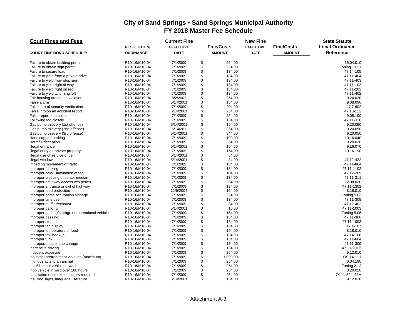| <b>Court Fines and Fees</b>                      |                    | <b>Current Fine</b> |                   | <b>New Fine</b>  |                   | <b>State Statute</b>   |
|--------------------------------------------------|--------------------|---------------------|-------------------|------------------|-------------------|------------------------|
|                                                  | <b>RESOLUTION/</b> | <b>EFFECTIVE</b>    | <b>Fine/Costs</b> | <b>EFFECTIVE</b> | <b>Fine/Costs</b> | <b>Local Ordinance</b> |
| <b>COURT FINE BOND SCHEDULE:</b>                 | <b>ORDINANCE</b>   | <b>DATE</b>         | <b>AMOUNT</b>     | <b>DATE</b>      | <b>AMOUNT</b>     | <b>Reference</b>       |
| Failure to obtain building permit                | R10-16/M10-04      | 7/1/2009            | \$<br>254.00      |                  |                   | 15.04.010              |
| Failure to obtain sign permit                    | R10-16/M10-04      | 7/1/2009            | \$<br>254.00      |                  |                   | Zoning 13.21           |
| Failure to secure load                           | R10-16/M10-04      | 7/1/2009            | \$<br>134.00      |                  |                   | 47 14-105              |
| Failure to yield from a private drive            | R10-16/M10-04      | 7/1/2009            | \$<br>134.00      |                  |                   | 47 11-404              |
| Failure to yield from stop sign                  | R10-16/M10-04      | 7/1/2009            | \$<br>134.00      |                  |                   | 47 11-403              |
| Failure to yield right of way                    | R10-16/M10-04      | 7/1/2009            | \$<br>134.00      |                  |                   | 47 11-103              |
| Failure to yield right on red                    | R10-16/M10-04      | 7/1/2009            | \$<br>134.00      |                  |                   | 47 11-202              |
| Failure to yield w/turning left                  | R10-16/M10-04      | 7/1/2009            | \$<br>134.00      |                  |                   | 47 11-402              |
| Fair housing ordinance violation                 | R10-16/M10-04      | 8/2/2002            | \$<br>254.00      |                  |                   | 9.24.020               |
| False alarm                                      | R10-16/M10-04      | 5/14/2001           | \$<br>154.00      |                  |                   | 9.08.090               |
| False cert of security verification              | R10-16/M10-04      | 7/1/2009            | \$<br>204.00      |                  |                   | 47 7-602               |
| False info on an accident report                 | R10-16/M10-04      | 5/14/2001           | \$<br>254.00      |                  |                   | 47 10-112              |
| False report to a police officer                 | R10-16/M10-04      | 7/1/2009            | \$<br>254.00      |                  |                   | 9.08.100               |
| Following too closely                            | R10-16/M10-04      | 7/1/2009            | \$<br>134.00      |                  |                   | 47 11-310              |
| Gas pump thievery (1st offense)                  | R10-16/M10-04      | 5/14/2001           | \$<br>154.00      |                  |                   | 9.20.050               |
| Gas pump thievery (2nd offense)                  | R10-16/M10-04      | 5/14/201            | \$<br>254.00      |                  |                   | 9.20.050               |
| Gas pump thievery (3rd offense)                  | R10-16/M10-04      | 5/14/2001           | \$<br>344.00      |                  |                   | 9.20.050               |
| Handicapped parking                              | R10-16/M10-04      | 7/1/2009            | \$<br>100.00      |                  |                   | 10.16.040              |
| Harmful deception                                | R10-16/M10-04      | 7/1/2009            | \$<br>254.00      |                  |                   | 9.20.020               |
| Illegal entrance                                 | R10-16/M10-04      | 5/14/2001           | \$<br>154.00      |                  |                   | 9.16.070               |
| Illegal entry on private property                | R10-16/M10-04      | 7/1/2009            | \$<br>154.00      |                  |                   | 10.16.190              |
| Illegal use of service drive                     | R10-16/M10-04      | 5/14/2001           | \$<br>64.00       |                  |                   |                        |
| Illegal window tinting                           | R10-16/M10-04      | 5/14/2001           | \$<br>84.00       |                  |                   | 47 12-422              |
| Impeding movement of traffic                     | R10-16/M10-04      | 7/1/2009            | \$<br>134.00      |                  |                   | 47 11-804              |
| Improper backing                                 | R10-16/M10-04      | 7/1/2009            | \$<br>134.00      |                  |                   | 47 11-1102             |
| Improper color illumination of tag               | R10-16/M10-04      | 7/1/2009            | \$<br>104.00      |                  |                   | 47 12-209              |
| Improper crossing of center median               | R10-16/M10-04      | 7/1/2009            | \$<br>134.00      |                  |                   | 47 11-311              |
| Improper driveway access w/o permit              | R10-16/M10-04      | 7/1/2009            | \$<br>254.00      |                  |                   | 12.08.020              |
| Improper entrance or exit of highway             | R10-16/M10-04      | 7/1/2009            | \$<br>134.00      |                  |                   | 47 11-1302             |
| Improper food protection                         | R10-16/M10-04      | 11/6/2004           | \$<br>154.00      |                  |                   | 8.18.010               |
| Improper home occupation signage                 | R10-16/M10-04      | 7/1/2009            | \$<br>254.00      |                  |                   | Zoning 5.03            |
| Improper lane use                                | R10-16/M10-04      | 7/1/2009            | \$<br>134.00      |                  |                   | 47 11-309              |
| Improper muffler/exhaust                         | R10-16/M10-04      | 7/1/2009            | \$<br>84.00       |                  |                   | 47 12-402              |
| Improper parking                                 | R10-16/M10-04      | 5/14/2001           | \$<br>10.00       |                  |                   | 47 11-1003             |
| Improper parking/storage of recreational vehicle | R10-16/M10-04      | 7/1/2009            | \$<br>154.00      |                  |                   | Zoning 5.06            |
| Improper passing                                 | R10-16/M10-04      | 7/1/2009            | \$<br>134.00      |                  |                   | 47 11-306              |
| Improper stop                                    | R10-16/M10-04      | 7/1/2009            | \$<br>134.00      |                  |                   | 47 11-1003             |
| Improper tag display                             | R10-16/M10-04      | 7/1/2009            | \$<br>134.00      |                  |                   | 474--107               |
| Improper temperature of food                     | R10-16/M10-04      | 7/1/2009            | \$<br>154.00      |                  |                   | 8.18.010               |
| Improper tow hookup                              | R10-16/M10-04      | 7/1/2009            | \$<br>134.00      |                  |                   | 47 14-106              |
| Improper turn                                    | R10-16/M10-04      | 7/1/2009            | \$<br>134.00      |                  |                   | 47 11-604              |
| Improper/unsafe lane change                      | R10-16/M10-04      | 7/1/2009            | \$<br>134.00      |                  |                   | 47 11-309              |
| Inattentive driving                              | R10-16/M10-04      | 7/1/2009            | \$<br>134.00      |                  |                   | 47 11-901B             |
| Indecent exposure                                | R10-16/M10-04      | 7/1/2009            | \$<br>254.00      |                  |                   | 9.12.010               |
| Industrial pretreatment violation (maximum)      | R10-16/M10-04      | 7/1/2009            | \$<br>1,000.00    |                  |                   | 11 OS 14-111           |
| Injurious acts to an animal                      | R10-16/M10-04      | 7/1/2009            | \$<br>254.00      |                  |                   | 6.04.190               |
| Inop/dismant vehicle in yard                     | R10-16/M10-04      | 7/1/2009            | \$<br>254.00      |                  |                   | Zoning 2.12            |
| Inop vehicle in yard over 168 hours              | R10-16/M10-04      | 7/1/2009            | \$<br>254.00      |                  |                   | 8.20.020               |
| Installation of smoke detectors required         | R10-16/M10-04      | 7/1/2009            | \$<br>254.00      |                  |                   | 74 11-324, 11A         |
| Insulting signs, language, literature            | R10-16/M10-04      | 5/14/2001           | \$<br>154.00      |                  |                   | 9.12.020               |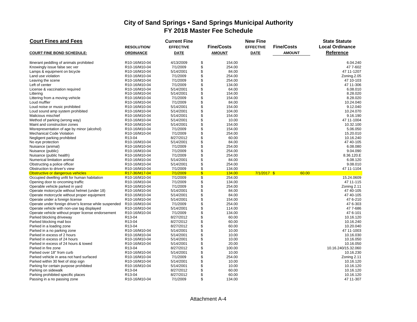| <b>Court Fines and Fees</b>                            |                                         | <b>Current Fine</b>   |               |                   | <b>New Fine</b>  |                   | <b>State Statute</b>   |
|--------------------------------------------------------|-----------------------------------------|-----------------------|---------------|-------------------|------------------|-------------------|------------------------|
|                                                        | <b>RESOLUTION/</b>                      | <b>EFFECTIVE</b>      |               | <b>Fine/Costs</b> | <b>EFFECTIVE</b> | <b>Fine/Costs</b> | <b>Local Ordinance</b> |
| <b>COURT FINE BOND SCHEDULE:</b>                       | <b>ORDINANCE</b>                        | <b>DATE</b>           |               | <b>AMOUNT</b>     | <b>DATE</b>      | <b>AMOUNT</b>     | <b>Reference</b>       |
| Itinerant peddling of animals prohibited               | R10-16/M10-04                           | 4/13/2009             | \$            | 154.00            |                  |                   | 6.04.240               |
| Knowingly issue false sec ver                          | R10-16/M10-04                           | 7/1/2009              | \$            | 254.00            |                  |                   | 47 7-602               |
| Lamps & equipment on bicycle                           | R10-16/M10-04                           | 5/14/2001             | \$            | 84.00             |                  |                   | 47 11-1207             |
| Land use violation                                     | R10-16/M10-04                           | 7/1/2009              | \$            | 254.00            |                  |                   | Zoning.2.05            |
| Leaving the scene                                      | R10-16/M10-04                           | 7/1/2009              | \$            | 254.00            |                  |                   | 47 10-103              |
| Left of center                                         | R10-16/M10-04                           | 7/1/2009              | \$            | 134.00            |                  |                   | 47 11-306              |
| License & vaccination required                         | R <sub>10</sub> -16/M <sub>10</sub> -04 | 5/14/2001             | \$            | 64.00             |                  |                   | 6.08.010               |
| Littering                                              | R10-16/M10-04                           | 5/14/2001             | \$            | 154.00            |                  |                   | 8.28.020               |
| Littering from a moving vehicle                        | R10-16/M10-04                           | 7/1/2009              | \$            | 154.00            |                  |                   | 8.28.020               |
| Loud muffler                                           | R10-16/M10-04                           | 7/1/2009              | \$            | 84.00             |                  |                   | 10.24.040              |
| Loud noise or music prohibited                         | R10-16/M10-04                           | 5/14/2001             | \$            | 154.00            |                  |                   | 9.12.040               |
| Loud sound amp system prohibited                       | R10-16/M10-04                           | 5/14/2001             | \$            | 104.00            |                  |                   | 10.24.070              |
| Malicious mischief                                     | R10-16/M10-04                           | 5/14/2001             | \$            | 154.00            |                  |                   | 9.16.190               |
| Method of parking (wrong way)                          | R10-16/M10-04                           | 5/14/2001             | \$            | 10.00             |                  |                   | 47 11-1004             |
| Maint and construction zones                           | R10-16/M10-04                           | 5/14/2001             | \$            | 154.00            |                  |                   | 10.32.100              |
| Misrepresentation of age by minor (alcohol)            | R10-16/M10-04                           | 7/1/2009              | \$            | 154.00            |                  |                   | 5.06.050               |
| <b>Mechanical Code Violation</b>                       | R10-16/M10-04                           | 7/1/2009              | \$            | 254.00            |                  |                   | 15.20.010              |
| Negligent parking prohibited                           | R13-04                                  | 8/27/2012             | \$            | 60.00             |                  |                   | 10.16.240              |
| No eye protection                                      | R10-16/M10-04                           | 5/14/2001             | \$            | 84.00             |                  |                   | 47 40-105              |
| Nuisance (animal)                                      | R10-16/M10-04                           | 7/1/2009              | \$            | 254.00            |                  |                   | 6.08.080               |
| Nuisance (public)                                      | R <sub>10</sub> -16/M <sub>10</sub> -04 | 7/1/2009              | \$            | 254.00            |                  |                   | 9.04.090               |
| Nuisance (public health)                               | R10-16/M10-04                           | 7/1/2009              | \$            | 254.00            |                  |                   | 8.36.120.E             |
| Numerical limitation animal                            | R10-16/M10-04                           | 5/14/2001             | \$            | 84.00             |                  |                   | 6.08.120               |
| Obstructing a police officer                           | R10-16/M10-04                           | 5/14/2001             | \$            | 254.00            |                  |                   | 9.08.010               |
| Obstruction to driver's view                           | R10-16/M10-04                           | 7/1/2009              | \$            | 134.00            |                  |                   | 47 11-1104             |
| Obstructive or dangerous vehicles                      | R17-36/M17-04                           | 7/1/2009              | $\mathsf{\$}$ | 134.00            | $7/1/2017$ \$    | 60.00             |                        |
| Occupied dwelling unfit for human habitation           | R10-16/M10-04                           | 7/1/2009              | \$            | 254.00            |                  |                   | 15.24.0609             |
| Opening door to oncoming traffic                       | R10-16/M10-04                           | 7/1/2009              | \$            | 134.00            |                  |                   | 47 11-115              |
| Operable vehicle parked in yard                        | R <sub>10</sub> -16/M <sub>10</sub> -04 | 7/1/2009              | \$            | 254.00            |                  |                   | Zoning 2.11            |
| Operate motorcycle without helmet (under 18)           | R10-16/M10-04                           | 5/14/2001             | \$            | 84.00             |                  |                   | 47 40-105              |
| Operate motorcycle without proper equipment            | R10-16/M10-04                           | 5/14/2001             | \$            | 84.00             |                  |                   | 47 40-105              |
| Operate under a foreign license                        | R <sub>10</sub> -16/M <sub>10</sub> -04 | 5/14/2001             | \$            | 154.00            |                  |                   | 47 6-210               |
| Operate under foreign driver's license while suspended | R10-16/M10-04                           | 7/1/2009              | \$            | 254.00            |                  |                   | 47 6-303               |
| Operate vehicle with non-use tag displayed             | R10-16/M10-04                           | 5/14/2001             | \$            | 114.00            |                  |                   | 477-686                |
| Operate vehicle without proper license endorsement     | R10-16/M10-04                           | 7/1/2009              | \$            | 134.00            |                  |                   | 47 6-101               |
| Parked blocking driveway                               | R <sub>13</sub> -04                     | 8/27/2012             | \$            | 60.00             |                  |                   | 10.16.120              |
| Parked blocking mail box                               | R13-04                                  | 8/27/2012             | \$            | 60.00             |                  |                   | 10.16.240              |
| Parked in a loading zone                               | R13-04                                  | 8/27/2012             | \$            | 60.00             |                  |                   | 10.20.040              |
| Parked in a no parking zone                            | R10-16/M10-04                           | 5/14/2001             | \$            | 10.00             |                  |                   | 47 11-1003             |
| Parked in excess of 2 hours                            | R10-16/M10-04                           | 5/14/2001             | \$            | 10.00             |                  |                   | 10.16.030              |
| Parked in excess of 24 hours                           | R10-16/M10-04                           | 5/14/2001             | \$            | 10.00             |                  |                   | 10.16.050              |
| Parked in excess of 24 hours & towed                   | R10-16/M10-04                           | 5/14/2001             | \$<br>\$      | 20.00             |                  |                   | 10.16.050              |
| Parked in fire zone                                    | R13-04                                  | 8/27/2012             |               | 100.00            |                  |                   | 10.16.240/15.32.060    |
| Parked over 18" from curb                              | R10-16/M10-04                           | 5/14/2001             | \$            | 10.00             |                  |                   | 10.16.230              |
| Parked vehicle in area not hard surfaced               | R10-16/M10-04                           | 7/1/2009              | \$            | 254.00            |                  |                   | Zoning 2.11            |
| Parked within 30 feet of stop sign                     | R10-16/M10-04                           | 5/14/2001             | \$<br>\$      | 10.00             |                  |                   | 10.16.120              |
| Parking for certain purpose prohibited                 | R10-16/M10-04                           | 5/14/2001             | \$            | 10.00             |                  |                   | 10.16.120<br>10.16.120 |
| Parking on sidewalk                                    | R13-04                                  | 8/27/2012             | \$            | 60.00<br>60.00    |                  |                   |                        |
| Parking prohibited specific places                     | R13-04<br>R10-16/M10-04                 | 8/27/2012<br>7/1/2009 | \$            | 134.00            |                  |                   | 10.16.120<br>47 11-307 |
| Passing in a no passing zone                           |                                         |                       |               |                   |                  |                   |                        |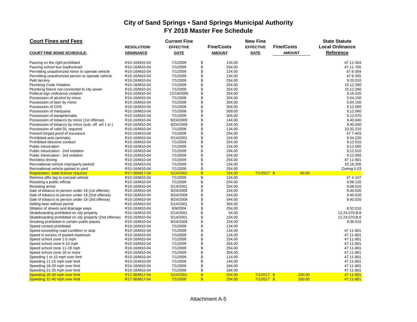| <b>Court Fines and Fees</b>                             |                                         | <b>Current Fine</b> |                    |                   | <b>New Fine</b>  |                   | <b>State Statute</b>   |
|---------------------------------------------------------|-----------------------------------------|---------------------|--------------------|-------------------|------------------|-------------------|------------------------|
|                                                         | <b>RESOLUTION/</b>                      | <b>EFFECTIVE</b>    |                    | <b>Fine/Costs</b> | <b>EFFECTIVE</b> | <b>Fine/Costs</b> | <b>Local Ordinance</b> |
| <b>COURT FINE BOND SCHEDULE:</b>                        | <b>ORDINANCE</b>                        | <b>DATE</b>         |                    | <b>AMOUNT</b>     | <b>DATE</b>      | <b>AMOUNT</b>     | Reference              |
| Passing on the right prohibited                         | R10-16/M10-04                           | 7/1/2009            | \$                 | 134.00            |                  |                   | 47 11-304              |
| Passing school bus load/unload                          | R10-16/M10-04                           | 7/1/2009            | \$                 | 254.00            |                  |                   | 47 11-705              |
| Permitting unauthorized minor to operate vehicle        | R10-16/M10-04                           | 7/1/2009            | \$                 | 134.00            |                  |                   | 47 6-304               |
| Permitting unauthorized person to operate vehicle       | R10-16/M10-04                           | 7/1/2009            | \$                 | 134.00            |                  |                   | 47 6-305               |
| Petit larceny                                           | R10-16/M10-04                           | 7/1/2009            | \$                 | 254.00            |                  |                   | 9.20.010               |
| Plumbing Code Violation                                 | R10-16/M10-04                           | 7/1/2009            | \$                 | 254.00            |                  |                   | 15.12.260              |
| Plumbing fixture not connected to city sewer            | R10-16/M10-04                           | 7/1/2009            | \$                 | 254.00            |                  |                   | 15.12.260              |
| Political sign ordinance violation                      | R10-16/M10-04                           | 12/19/2005          | \$                 | 254.00            |                  |                   | 9.16.220               |
| Possession of alcohol by minor                          | R10-16/M10-04                           | 7/1/2009            | \$                 | 204.00            |                  |                   | 5.04.150               |
| Possession of beer by minor                             | R10-16/M10-04                           | 7/1/2009            | \$                 | 204.00            |                  |                   | 5.04.150               |
| Possession of CDS                                       | R10-16/M10-04                           | 7/1/2009            | \$                 | 304.00            |                  |                   | 9.12.060               |
| Possession of marijuana                                 | R10-16/M10-04                           | 7/1/2009            | \$                 | 309.00            |                  |                   | 9.12.060               |
| Possession of paraphernalia                             | R10-16/M10-04                           | 7/1/2009            | \$                 | 304.00            |                  |                   | 9.12.070               |
| Possession of tobacco by minor (1st offense)            | R10-16/M10-04                           | 8/24/2009           | \$                 | 144.00            |                  |                   | 9.40.040               |
| Possession of tobacco by minor (sub. off. w/l 1 yr.)    | R10-16/M10-04                           | 8/24/2009           | \$                 | 244.00            |                  |                   | 9.40.040               |
| Possession of valid DL required                         | R10-16/M10-04                           | 7/1/2009            | \$                 | 134.00            |                  |                   | 10.32.210              |
| Present forged proof of insurance                       | R10-16/M10-04                           | 7/1/2009            | \$                 | 254.00            |                  |                   | 47 7-403               |
| Prohibited acts (animals)                               | R10-16/M10-04                           | 5/14/2001           | \$                 | 154.00            |                  |                   | 6.04.220               |
| Prohibited obscene conduct                              | R10-16/M10-04                           | 7/1/2009            | \$                 | 254.00            |                  |                   | 9.12.010               |
| Public intoxication                                     | R10-16/M10-04                           | 7/1/2009            | \$                 | 154.00            |                  |                   | 9.12.050               |
| Public intoxication - 2nd violation                     | R10-16/M10-04                           | 7/1/2009            | \$                 | 194.00            |                  |                   | 9.12.010               |
| Public intoxication - 3rd violation                     | R10-16/M10-04                           | 7/1/2009            | \$                 | 244.00            |                  |                   | 9.12.050               |
| Reckless driving                                        | R10-16/M10-04                           | 7/1/2009            | \$                 | 254.00            |                  |                   | 47 11-901              |
| Recreational vehicle improperly parked                  | R10-16/M10-04                           | 7/1/2009            | \$                 | 154.00            |                  |                   | 10.16.200              |
| Recreational vehicle parked in yard                     | R10-16/M10-04                           | 7/1/2009            | \$                 | 254.00            |                  |                   | Zoning 5.03            |
| Registration, state license required                    | R17-36/M17-04                           | 5/14/2001           | \$                 | 154.00            | $7/1/2017$ \$    | 60.00             |                        |
| Remove affix tag to conceal vehicle                     | R10-16/M10-04                           | 7/1/2009            | \$                 | 134.00            |                  |                   | 474--107               |
| Resisting a public official                             | R10-16/M10-04                           | 7/1/2009            | \$                 | 254.00            |                  |                   | 9.08.120               |
| <b>Resisting arrest</b>                                 | R <sub>10</sub> -16/M <sub>10</sub> -04 | 5/14/2001           | \$                 | 254.00            |                  |                   | 9.08.010               |
| Sale of tobacco to person under 18 (1st offense)        | R10-16/M10-04                           | 8/24/2009           | \$                 | 144.00            |                  |                   | 9.40.020               |
| Sale of tobacco to person under 18 (2nd offense)        | R10-16/M10-04                           | 8/24/2009           | \$                 | 244.00            |                  |                   | 9.40.020               |
| Sale of tobacco to person under 18 (3rd offense)        | R10-16/M10-04                           | 8/24/2009           | \$                 | 344.00            |                  |                   | 9.40.020               |
| Selling beer without permit                             | R10-16/M10-04                           | 5/14/2001           | \$                 | 304.00            |                  |                   |                        |
| Siltation of streets and drainage ways                  | R10-16/M10-04                           | 8/9/2004            | \$                 | 254.00            |                  |                   | 8.52.010               |
| Skateboarding prohibited on city property               | R10-16/M10-04                           | 5/14/2001           | \$                 | 54.00             |                  |                   | 12.24.070.B.6          |
| Skateboarding prohibited on city property (2nd offense) | R10-16/M10-04                           | 5/14/2001           | \$                 | 154.00            |                  |                   | 12.24.070.B.6          |
| Smoking prohibited in certain public places             | R10-16/M10-04                           | 8/24/2009           | \$                 | 154.00            |                  |                   | 9.36.010               |
| Speed contest prohibited                                | R10-16/M10-04                           | 7/1/2009            | \$                 | 134.00            |                  |                   |                        |
| Speed exceeding road condition or stop                  | R10-16/M10-04                           | 7/1/2009            | \$                 | 134.00            |                  |                   | 47 11-801              |
| Speed in excess of posted maximum                       | R10-16/M10-04                           | 7/1/2009            | \$                 | 124.00            |                  |                   | 47 11-801              |
| Speed school zone 1-5 mph                               | R10-16/M10-04                           | 7/1/2009            | \$                 | 154.00            |                  |                   | 47 11-801              |
| Speed school zone 6-10 mph                              | R10-16/M10-04                           | 7/1/2009            | \$                 | 204.00            |                  |                   | 47 11-801              |
| Speed school zone 11-19 mph                             | R10-16/M10-04                           | 7/1/2009            | \$                 | 254.00            |                  |                   | 47 11-801              |
| Speed school zone 20 or more                            | R10-16/M10-04                           | 7/1/2009            | \$                 | 304.00            |                  |                   | 47 11-801              |
| Speeding 1 to 10 mph over limit                         | R10-16/M10-04                           | 7/1/2009            | \$                 | 114.00            |                  |                   | 47 11-801              |
| Speeding 11-15 mph over limit                           | R10-16/M10-04                           | 7/1/2009            | \$                 | 144.00            |                  |                   | 47 11-801              |
| Speeding 16-20 mph over limit                           | R10-16/M10-04                           | 7/1/2009            | \$                 | 164.00            |                  |                   | 47 11-801              |
| Speeding 21-25 mph over limit                           | R10-16/M10-04                           | 7/1/2009            | \$                 | 184.00            |                  |                   | 47 11-801              |
| Speeding 26-30 mph over limit                           | R17-36/M17-04                           | 5/14/2001           | $\mathbf{\hat{s}}$ | 204.00            | $7/1/2017$ \$    | 200.00            | 47 11-801              |
| Speeding 31-40 mph over limit                           | R17-36/M17-04                           | 7/1/2009            | $\mathbf{s}$       | 254.00            | $7/1/2017$ \$    | 200.00            | 47 11-801              |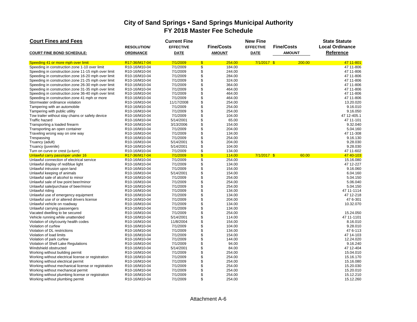| <b>Court Fines and Fees</b>                        |                    | <b>Current Fine</b> |                                     | <b>New Fine</b>  |                   | <b>State Statute</b>   |
|----------------------------------------------------|--------------------|---------------------|-------------------------------------|------------------|-------------------|------------------------|
|                                                    | <b>RESOLUTION/</b> | <b>EFFECTIVE</b>    | <b>Fine/Costs</b>                   | <b>EFFECTIVE</b> | <b>Fine/Costs</b> | <b>Local Ordinance</b> |
| <b>COURT FINE BOND SCHEDULE:</b>                   | <b>ORDINANCE</b>   | <b>DATE</b>         | <b>AMOUNT</b>                       | <b>DATE</b>      | <b>AMOUNT</b>     | <b>Reference</b>       |
| Speeding 41 or more mph over limit                 | R17-36/M17-04      | 7/1/2009            | $\mathbf{\overline{s}}$<br>254.00   | $7/1/2017$ \$    | 200.00            | 47 11-801              |
| Speeding in construction zone 1-10 over limit      | R10-16/M10-04      | 7/1/2009            | $\overline{\mathcal{S}}$<br>184.00  |                  |                   | 47 11-806              |
| Speeding in construction zone 11-15 mph over limit | R10-16/M10-04      | 7/1/2009            | \$<br>244.00                        |                  |                   | 47 11-806              |
| Speeding in construction zone 16-20 mph over limit | R10-16/M10-04      | 7/1/2009            | \$<br>284.00                        |                  |                   | 47 11-806              |
| Speeding in construction zone 21-25 mph over limit | R10-16/M10-04      | 7/1/2009            | \$<br>324.00                        |                  |                   | 47 11-806              |
| Speeding in construction zone 26-30 mph over limit | R10-16/M10-04      | 7/1/2009            | \$<br>364.00                        |                  |                   | 47 11-806              |
| Speeding in construction zone 31-35 mph over limit | R10-16/M10-04      | 7/1/2009            | \$<br>464.00                        |                  |                   | 47 11-806              |
| Speeding in construction zone 36-40 mph over limit | R10-16/M10-04      | 7/1/2009            | \$<br>464.00                        |                  |                   | 47 11-806              |
| Speeding in construction zone 41 mph or more       | R10-16/M10-04      | 7/1/2009            | \$<br>464.00                        |                  |                   | 47 11-806              |
| Stormwater ordinance violation                     | R10-16/M10-04      | 11/17/2008          | $\ddot{\$}$<br>254.00               |                  |                   | 13.20.020              |
| Tampering with an automobile                       | R10-16/M10-04      | 7/1/2009            | \$<br>254.00                        |                  |                   | 9.16.010               |
| Tampering with public utility                      | R10-16/M10-04      | 7/1/2009            | \$<br>254.00                        |                  |                   | 9.16.050               |
| Tow trailer without stay chains or safety device   | R10-16/M10-04      | 7/1/2009            | \$<br>104.00                        |                  |                   | 47 12-405.1            |
| <b>Traffic hazard</b>                              | R10-16/M10-04      | 5/14/2001           | \$<br>65.00                         |                  |                   | 47 11-101              |
| Transporting a loaded firearm                      | R10-16/M10-04      | 3/13/2006           | \$<br>154.00                        |                  |                   | 9.32.040               |
| Transporting an open container                     | R10-16/M10-04      | 7/1/2009            | \$<br>204.00                        |                  |                   | 5.04.160               |
| Traveling wrong way on one way                     | R10-16/M10-04      | 7/1/2009            | \$<br>134.00                        |                  |                   | 47 11-308              |
| Trespassing                                        | R10-16/M10-04      | 7/1/2009            | \$<br>254.00                        |                  |                   | 9.16.130               |
| Truancy (adult)                                    | R10-16/M10-04      | 5/14/2001           | \$<br>204.00                        |                  |                   | 9.28.030               |
| Truancy (juvenile)                                 | R10-16/M10-04      | 5/14/2001           | \$<br>104.00                        |                  |                   | 9.28.030               |
| Turn on curve or crest (u-turn)                    | R10-16/M10-04      | 7/1/2009            | \$<br>134.00                        |                  |                   | 47 11-602              |
| Unlawful carry pass/oper under 16                  | R17-36/M17-04      | 7/1/2009            | $\boldsymbol{\mathsf{S}}$<br>114.00 | $7/1/2017$ \$    | 60.00             | 47 40-103              |
| Unlawful connection of electrical service          | R10-16/M10-04      | 7/1/2009            | $\sqrt[6]{3}$<br>254.00             |                  |                   | 15.16.080              |
| Unlawful display of red/blue light                 | R10-16/M10-04      | 7/1/2009            | \$<br>134.00                        |                  |                   | 47 12-227              |
| Unlawful intrusion upon land                       | R10-16/M10-04      | 7/1/2009            | \$<br>154.00                        |                  |                   | 9.16.060               |
| Unlawful keeping of animals                        | R10-16/M10-04      | 5/14/2001           | \$<br>154.00                        |                  |                   | 6.04.160               |
| Unlawful sale of alcohol to minor                  | R10-16/M10-04      | 7/1/2009            | \$<br>254.00                        |                  |                   | 5.04.150               |
| Unlawful sale of low point beer/minor              | R10-16/M10-04      | 7/1/2009            | \$<br>254.00                        |                  |                   | 5.06.040               |
| Unlawful sale/purchase of beer/minor               | R10-16/M10-04      | 7/1/2009            | \$<br>254.00                        |                  |                   | 5.04.150               |
| Unlawful riding                                    | R10-16/M10-04      | 7/1/2009            | \$<br>134.00                        |                  |                   | 47 11-1114             |
| Unlawful use of emergency equipment                | R10-16/M10-04      | 7/1/2009            | $\ddot{\$}$<br>134.00               |                  |                   | 47 12-218              |
| Unlawful use of or altered drivers license         | R10-16/M10-04      | 7/1/2009            | \$<br>204.00                        |                  |                   | 47 6-301               |
| Unlawful vehicle on roadway                        | R10-16/M10-04      | 7/1/2009            | \$<br>134.00                        |                  |                   | 10.32.070              |
| Unlawful carrying passengers                       | R10-16/M10-04      | 7/1/2009            | \$<br>134.00                        |                  |                   |                        |
| Vacated dwelling to be secured                     | R10-16/M10-04      | 7/1/2009            | \$<br>254.00                        |                  |                   | 15.24.050              |
| Vehicle running while unattended                   | R10-16/M10-04      | 5/14/2001           | $\ddot{\$}$<br>114.00               |                  |                   | 47 11-1101             |
| Violation of city/county health codes              | R10-16/M10-04      | 11/8/2004           | \$<br>154.00                        |                  |                   | 8.16.010               |
| Violation of curfew                                | R10-16/M10-04      | 7/1/2009            | $\ddot{\$}$<br>104.00               |                  |                   | 9.28.010               |
| Violation of DL restrictions                       | R10-16/M10-04      | 7/1/2009            | \$<br>134.00                        |                  |                   | 47 6-113               |
| Violation of load limits                           | R10-16/M10-04      | 7/1/2009            | \$<br>154.00                        |                  |                   | 47 14-103              |
| Violation of park curfew                           | R10-16/M10-04      | 7/1/2009            | $\ddot{\$}$<br>144.00               |                  |                   | 12.24.020              |
| Violation of Shell Lake Regulations                | R10-16/M10-04      | 7/1/2009            | \$<br>94.00                         |                  |                   | 9.16.240               |
| Windshield obstructed                              | R10-16/M10-04      | 5/14/2001           | $\ddot{\$}$<br>84.00                |                  |                   | 47 12-404              |
| Working without building permit                    | R10-16/M10-04      | 7/1/2009            | \$<br>254.00                        |                  |                   | 15.04.010              |
| Working without electrical license or registration | R10-16/M10-04      | 7/1/2009            | $\ddot{\$}$<br>254.00               |                  |                   | 15.16.170              |
| Working without electrical permit                  | R10-16/M10-04      | 7/1/2009            | \$<br>254.00                        |                  |                   | 15.16.080              |
| Working without mechanical license or registration | R10-16/M10-04      | 7/1/2009            | \$<br>254.00                        |                  |                   | 15.20.030              |
| Working without mechanical permit                  | R10-16/M10-04      | 7/1/2009            | \$<br>254.00                        |                  |                   | 15.20.010              |
| Working without plumbing license or registration   | R10-16/M10-04      | 7/1/2009            | \$<br>254.00                        |                  |                   | 15.12.210              |
| Working without plumbing permit                    | R10-16/M10-04      | 7/1/2009            | \$<br>254.00                        |                  |                   | 15.12.260              |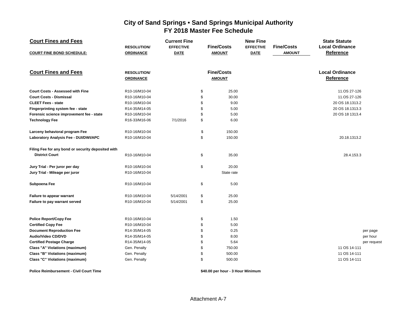| <b>Court Fines and Fees</b>                        | <b>RESOLUTION/</b>                     | <b>Current Fine</b><br><b>EFFECTIVE</b> | <b>Fine/Costs</b>                  | <b>New Fine</b><br><b>EFFECTIVE</b> | <b>Fine/Costs</b> | <b>State Statute</b><br><b>Local Ordinance</b> |            |
|----------------------------------------------------|----------------------------------------|-----------------------------------------|------------------------------------|-------------------------------------|-------------------|------------------------------------------------|------------|
| <b>COURT FINE BOND SCHEDULE:</b>                   | <b>ORDINANCE</b>                       | <b>DATE</b>                             | <b>AMOUNT</b>                      | <b>DATE</b>                         | <b>AMOUNT</b>     | Reference                                      |            |
| <b>Court Fines and Fees</b>                        | <b>RESOLUTION/</b><br><b>ORDINANCE</b> |                                         | <b>Fine/Costs</b><br><b>AMOUNT</b> |                                     |                   | <b>Local Ordinance</b><br>Reference            |            |
| <b>Court Costs - Assessed with Fine</b>            | R10-16/M10-04                          |                                         | 25.00<br>\$                        |                                     |                   | 11.OS 27-126                                   |            |
| <b>Court Costs - Dismissal</b>                     | R10-16/M10-04                          |                                         | \$<br>30.00                        |                                     |                   | 11.OS 27-126                                   |            |
| <b>CLEET Fees - state</b>                          | R10-16/M10-04                          |                                         | \$<br>9.00                         |                                     |                   | 20 OS 18.1313.2                                |            |
| Fingerprinting system fee - state                  | R14-35/M14-05                          |                                         | \$<br>5.00                         |                                     |                   | 20 OS 18.1313.3                                |            |
| Forensic science improvement fee - state           | R10-16/M10-04                          |                                         | \$<br>5.00                         |                                     |                   | 20 OS 18 1313.4                                |            |
| <b>Technology Fee</b>                              | R16-33/M16-06                          | 7/1/2016                                | \$<br>6.00                         |                                     |                   |                                                |            |
| Larceny behavioral program Fee                     | R10-16/M10-04                          |                                         | \$<br>150.00                       |                                     |                   |                                                |            |
| Laboratory Analysis Fee - DUI/DWI/APC              | R10-16/M10-04                          |                                         | \$<br>150.00                       |                                     |                   | 20.18.1313.2                                   |            |
| Filing Fee for any bond or security deposited with |                                        |                                         |                                    |                                     |                   |                                                |            |
| <b>District Court</b>                              | R10-16/M10-04                          |                                         | \$<br>35.00                        |                                     |                   | 28.4.153.3                                     |            |
| Jury Trial - Per juror per day                     | R10-16/M10-04                          |                                         | \$<br>20.00                        |                                     |                   |                                                |            |
| Jury Trial - Mileage per juror                     | R10-16/M10-04                          |                                         | State rate                         |                                     |                   |                                                |            |
| Subpoena Fee                                       | R10-16/M10-04                          |                                         | \$<br>5.00                         |                                     |                   |                                                |            |
| Failure to appear warrant                          | R10-16/M10-04                          | 5/14/2001                               | \$<br>25.00                        |                                     |                   |                                                |            |
| Failure to pay warrant served                      | R10-16/M10-04                          | 5/14/2001                               | \$<br>25.00                        |                                     |                   |                                                |            |
| <b>Police Report/Copy Fee</b>                      | R10-16/M10-04                          |                                         | \$<br>1.50                         |                                     |                   |                                                |            |
| <b>Certified Copy Fee</b>                          | R10-16/M10-04                          |                                         | \$<br>5.00                         |                                     |                   |                                                |            |
| <b>Document Reproduction Fee</b>                   | R14-35/M14-05                          |                                         | \$<br>0.25                         |                                     |                   |                                                | per page   |
| Audio/Video CD/DVD                                 | R14-35/M14-05                          |                                         | \$<br>8.00                         |                                     |                   |                                                | per hour   |
| <b>Certified Postage Charge</b>                    | R14-35/M14-05                          |                                         | \$<br>5.64                         |                                     |                   |                                                | per reques |
| <b>Class "A" Violations (maximum)</b>              | Gen. Penalty                           |                                         | \$<br>750.00                       |                                     |                   | 11 OS 14-111                                   |            |
| Class "B" Violations (maximum)                     | Gen. Penalty                           |                                         | 500.00<br>\$                       |                                     |                   | 11 OS 14-111                                   |            |
| Class "C" Violations (maximum)                     | Gen. Penalty                           |                                         | \$<br>500.00                       |                                     |                   | 11 OS 14-111                                   |            |
|                                                    |                                        |                                         |                                    |                                     |                   |                                                |            |

**Police Reimbursement - Civil Court Time \$40.00 per hour - 3 Hour Minimum**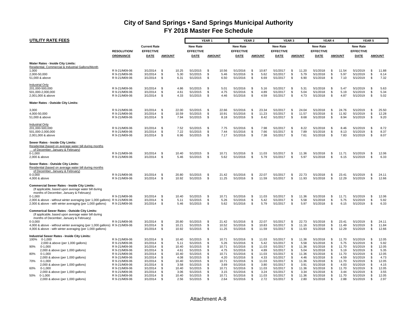| UTILITY RATE FEES                                                                                                                                                     |                                                                  |                                              |                                                        |                                                              | YEAR <sub>1</sub>      |                                |                                              | YEAR <sub>2</sub>     |                                |                                              | YEAR <sub>3</sub>         |                                |                                              | YEAR 4                     |                                |                                              | YEAR 5                 |                                |
|-----------------------------------------------------------------------------------------------------------------------------------------------------------------------|------------------------------------------------------------------|----------------------------------------------|--------------------------------------------------------|--------------------------------------------------------------|------------------------|--------------------------------|----------------------------------------------|-----------------------|--------------------------------|----------------------------------------------|---------------------------|--------------------------------|----------------------------------------------|----------------------------|--------------------------------|----------------------------------------------|------------------------|--------------------------------|
|                                                                                                                                                                       | <b>RESOLUTION/</b>                                               | <b>Current Rate</b><br><b>EFFECTIVE</b>      |                                                        | <b>New Rate</b><br><b>EFFECTIVE</b>                          |                        |                                | <b>New Rate</b><br><b>EFFECTIVE</b>          |                       |                                | <b>New Rate</b><br><b>EFFECTIVE</b>          |                           |                                | <b>New Rate</b><br><b>EFFECTIVE</b>          |                            |                                | <b>New Rate</b><br><b>EFFECTIVE</b>          |                        |                                |
|                                                                                                                                                                       | <b>ORDINANCE</b>                                                 | DATE                                         | <b>AMOUNT</b>                                          | DATE                                                         |                        | <b>AMOUNT</b>                  | <b>DATE</b>                                  |                       | <b>AMOUNT</b>                  | <b>DATE</b>                                  |                           | <b>AMOUNT</b>                  | <b>DATE</b>                                  |                            | <b>AMOUNT</b>                  | DATE                                         |                        | <b>AMOUNT</b>                  |
| Water Rates - Inside City Limits:<br>Residential, Commercial & Industrial Gallons/Month                                                                               |                                                                  |                                              |                                                        |                                                              |                        |                                |                                              |                       |                                |                                              |                           |                                |                                              |                            |                                |                                              |                        |                                |
| 1,000<br>2,000-50,000<br>51,000 & above                                                                                                                               | R 9-21/M09-06<br>R 9-21/M09-06<br>R 9-21/M09-06                  | 3/1/2014<br>3/1/2014<br>3/1/2014             | 10.25<br>\$<br>\$<br>-S<br>6.31                        | 5/1/2015<br>5.30<br>5/1/2015<br>5/1/2015                     | - \$<br>-S<br>-S       | 10.56<br>5.46<br>6.50          | 5/1/2016<br>5/1/2016<br>5/1/2016             | \$<br>\$<br>\$        | 10.87<br>5.62<br>6.69          | 5/1/2017<br>5/1/2017<br>5/1/2017             | \$<br>\$<br><b>S</b>      | 11.20<br>5.79<br>6.90          | 5/1/2018<br>5/1/2018<br>5/1/2018             | -\$<br>\$<br>\$            | 11.54<br>5.97<br>7.10          | 5/1/2019<br>5/1/2019<br>5/1/2019             | \$<br>\$<br>\$         | 11.88<br>6.14<br>7.32          |
| <b>Industrial Only</b><br>201,000-500,000<br>501,000-2,000,000<br>2,001,000 & above                                                                                   | R 9-21/M09-06<br>R 9-21/M09-06<br>R 9-21/M09-06                  | 3/1/2014<br>3/1/2014<br>3/1/2014             | \$<br>\$<br>\$                                         | 5/1/2015<br>4.86<br>4.61<br>5/1/2015<br>4.33<br>5/1/2015     | - \$<br>-S<br>\$       | 5.01<br>4.75<br>4.46           | 5/1/2016<br>5/1/2016<br>5/1/2016             | -\$<br>\$<br>\$       | 5.16<br>4.89<br>4.59           | 5/1/2017<br>5/1/2017<br>5/1/2017             | - \$<br>\$<br>\$          | 5.31<br>5.04<br>4.73           | 5/1/2018<br>5/1/2018<br>5/1/2018             | -\$<br>\$<br>\$            | 5.47<br>5.19<br>4.87           | 5/1/2019<br>5/1/2019<br>5/1/2019             | - \$<br>\$<br>\$       | 5.63<br>5.34<br>5.02           |
| Water Rates - Outside City Limits:                                                                                                                                    |                                                                  |                                              |                                                        |                                                              |                        |                                |                                              |                       |                                |                                              |                           |                                |                                              |                            |                                |                                              |                        |                                |
| 3.000<br>4,000-50,000<br>51,000 & above                                                                                                                               | R 9-21/M09-06<br>R 9-21/M09-06<br>R 9-21/M09-06                  | 3/1/2014<br>3/1/2014<br>3/1/2014             | -S<br>22.00<br>\$<br>10.59<br>\$<br>7.94               | 5/1/2015<br>5/1/2015<br>5/1/2015                             | -S<br>\$<br>\$         | 22.66<br>10.91<br>8.18         | 5/1/2016<br>5/1/2016<br>5/1/2016             | \$.<br>\$<br>\$       | 23.34<br>11.23<br>8.42         | 5/1/2017<br>5/1/2017<br>5/1/2017             | S<br>\$<br>\$             | 24.04<br>11.57<br>8.68         | 5/1/2018<br>5/1/2018<br>5/1/2018             | Ŝ.<br>\$<br>\$             | 24.76<br>11.92<br>8.94         | 5/1/2019<br>5/1/2019<br>5/1/2019             | -\$<br>\$<br>\$        | 25.50<br>12.28<br>9.20         |
| Industrial Only<br>201,000-500,000<br>501,000-2,000,000<br>2,001,000 & above                                                                                          | R 9-21/M09-06<br>R 9-21/M09-06<br>R 9-21/M09-06                  | 3/1/2014<br>3/1/2014<br>3/1/2014             | - \$<br>\$<br>\$                                       | 7.52<br>5/1/2015<br>7.22<br>5/1/2015<br>6.96<br>5/1/2015     | -S<br>\$<br>\$         | 7.75<br>7.44<br>7.17           | 5/1/2016<br>5/1/2016<br>5/1/2016             | \$<br>\$<br>\$        | 7.98<br>7.66<br>7.38           | 5/1/2017<br>5/1/2017<br>5/1/2017             | \$<br>\$<br>-\$           | 8.22<br>7.89<br>7.61           | 5/1/2018<br>5/1/2018<br>5/1/2018             | \$<br>\$<br>\$             | 8.46<br>8.13<br>7.83           | 5/1/2019<br>5/1/2019<br>5/1/2019             | -\$<br>\$<br>\$        | 8.72<br>8.37<br>8.07           |
| Sewer Rates - Inside City Limits:<br>Residential (based on average water bill during months<br>of December, January & February)<br>$0 - 1.000$<br>2,000 & above       | R 9-21/M09-06<br>R 9-21/M09-06                                   | 3/1/2014<br>3/1/2014                         | - \$<br>10.40<br>-\$                                   | 5/1/2015<br>5.46<br>5/1/2015                                 | - \$<br>-\$            | 10.71<br>5.62                  | 5/1/2016<br>5/1/2016                         | \$.<br>-S             | 11.03<br>5.79                  | 5/1/2017<br>5/1/2017                         | - \$<br><b>S</b>          | 11.36<br>5.97                  | 5/1/2018<br>5/1/2018                         | -\$<br>\$                  | 11.71<br>6.15                  | 5/1/2019<br>5/1/2019                         | -\$<br>-\$             | 12.06<br>6.33                  |
| Sewer Rates - Outside City Limits:<br>Residential (based on average water bill during months<br>of December, January & February)                                      |                                                                  |                                              |                                                        |                                                              |                        |                                |                                              |                       |                                |                                              |                           |                                |                                              |                            |                                |                                              |                        |                                |
| $0 - 3,000$<br>4,000 & above                                                                                                                                          | R 9-21/M09-06<br>R 9-21/M09-06                                   | 3/1/2014<br>3/1/2014                         | \$<br>20.80<br>-S<br>10.92                             | 5/1/2015<br>5/1/2015                                         | -S<br>-S               | 21.42<br>11.25                 | 5/1/2016<br>5/1/2016                         | \$<br>-S              | 22.07<br>11.59                 | 5/1/2017<br>5/1/2017                         | \$<br>S                   | 22.73<br>11.93                 | 5/1/2018<br>5/1/2018                         | \$<br>Ŝ.                   | 23.41<br>12.29                 | 5/1/2019<br>5/1/2019                         | \$<br>- \$             | 24.11<br>12.66                 |
| <b>Commercial Sewer Rates - Inside City Limits:</b><br>(If applicable, based upon average water bill during<br>months of December, January & February)<br>$0 - 1.000$ | R 9-21/M09-06                                                    | 3/1/2014                                     | - \$<br>10.40                                          | 5/1/2015                                                     | \$                     | 10.71                          | 5/1/2016                                     | -\$                   | 11.03                          | 5/1/2017                                     | \$                        | 11.36                          | 5/1/2018                                     | -\$                        | 11.71                          | 5/1/2019                                     | - \$                   | 12.06                          |
| 2,000 & above - without winter averaging (per 1,000 gallons) R 9-21/M09-06<br>2,000 & above - with winter averaging (per 1,000 gallons)                               | R 9-21/M09-06                                                    | 3/1/2014<br>3/1/2014                         | \$<br>5.11<br>\$                                       | 5/1/2015<br>5.46<br>5/1/2015                                 | \$<br>-\$              | 5.26<br>5.62                   | 5/1/2016<br>5/1/2016                         | \$<br>\$              | 5.42<br>5.79                   | 5/1/2017<br>5/1/2017                         | \$<br>\$                  | 5.58<br>5.97                   | 5/1/2018<br>5/1/2018                         | \$<br>Ŝ.                   | 5.75<br>6.15                   | 5/1/2019<br>5/1/2019                         | \$<br>\$               | 5.92<br>6.33                   |
| Commerical Sewer Rates - Outside City Limits:<br>(If applicable, based upon average water bill during<br>months of December, January & February)<br>$0 - 3.000$       | R 9-21/M09-06                                                    | 3/1/2014                                     | \$<br>20.80                                            | 5/1/2015                                                     | -S                     | 21.42                          | 5/1/2016                                     | - \$                  | 22.07                          | 5/1/2017                                     | - \$                      | 22.73                          | 5/1/2018                                     | \$                         | 23.41                          | 5/1/2019                                     | - \$                   | 24.11                          |
| 4,000 & above - without winter averaging (per 1,000 gallons) R 9-21/M09-06<br>4,000 & above - with winter averaging (per 1,000 gallons)                               |                                                                  | 3/1/2014<br>3/1/2014                         | \$<br>10.21<br>-S<br>10.92                             | 5/1/2015<br>5/1/2015                                         | \$<br>-S               | 10.52<br>11.25                 | 5/1/2016<br>5/1/2016                         | \$<br>\$              | 10.83<br>11.59                 | 5/1/2017<br>5/1/2017                         | \$<br>- \$                | 11.16<br>11.93                 | 5/1/2018<br>5/1/2018                         | \$<br>Ŝ.                   | 11.49<br>12.29                 | 5/1/2019<br>5/1/2019                         | \$<br>-\$              | 11.84<br>12.66                 |
| Industrial Sewer Rates - Inside City Limits:<br>100%<br>$0 - 1.000$                                                                                                   | R 9-21/M09-06                                                    | 3/1/2014                                     | -\$<br>10.40                                           | 5/1/2015                                                     | - \$                   | 10.71                          | 5/1/2016                                     | -\$                   | 11.03                          | 5/1/2017                                     | - \$                      | 11.36                          | 5/1/2018                                     | -\$                        | 11.70                          | 5/1/2019                                     | - \$                   | 12.05                          |
| 2,000 & above (per 1,000 gallons)<br>90%<br>$0 - 1.000$<br>2,000 & above (per 1,000 gallons)<br>80%<br>$0 - 1,000$                                                    | R 9-21/M09-06<br>R 9-21/M09-06<br>R 9-21/M09-06<br>R 9-21/M09-06 | 3/1/2014<br>3/1/2014<br>3/1/2014<br>3/1/2014 | \$<br>5.11<br>\$<br>10.40<br>\$<br>4.61<br>\$<br>10.40 | 5/1/2015<br>5/1/2015<br>5/1/2015<br>5/1/2015                 | -S<br>-S<br>\$<br>\$   | 5.26<br>10.71<br>4.75<br>10.71 | 5/1/2016<br>5/1/2016<br>5/1/2016<br>5/1/2016 | \$<br>\$.<br>\$<br>\$ | 5.42<br>11.03<br>4.89<br>11.03 | 5/1/2017<br>5/1/2017<br>5/1/2017<br>5/1/2017 | <b>S</b><br>S<br>\$<br>\$ | 5.58<br>11.36<br>5.04<br>11.36 | 5/1/2018<br>5/1/2018<br>5/1/2018<br>5/1/2018 | \$<br><b>S</b><br>\$<br>Ŝ. | 5.75<br>11.70<br>5.19<br>11.70 | 5/1/2019<br>5/1/2019<br>5/1/2019<br>5/1/2019 | \$<br>£.<br>\$<br>-\$  | 5.92<br>12.05<br>5.35<br>12.05 |
| 2,000 & above (per 1,000 gallons)<br>70%<br>$0 - 1,000$<br>2,000 & above (per 1,000 gallons)                                                                          | R 9-21/M09-06<br>R 9-21/M09-06<br>R 9-21/M09-06                  | 3/1/2014<br>3/1/2014<br>3/1/2014             | \$<br>\$<br>10.40<br>\$                                | 4.08<br>5/1/2015<br>5/1/2015<br>3.58<br>5/1/2015             | \$<br>\$<br>-S         | 4.20<br>10.71<br>3.69          | 5/1/2016<br>5/1/2016<br>5/1/2016             | \$<br>\$<br>\$        | 4.33<br>11.03<br>3.80          | 5/1/2017<br>5/1/2017<br>5/1/2017             | - \$<br>\$<br>\$          | 4.46<br>11.36<br>3.91          | 5/1/2018<br>5/1/2018<br>5/1/2018             | -\$<br>\$<br>-S            | 4.59<br>11.70<br>4.03          | 5/1/2019<br>5/1/2019<br>5/1/2019             | - \$<br>\$<br>-\$      | 4.73<br>12.05<br>4.15          |
| 60%<br>$0-1,000$<br>2,000 & above (per 1,000 gallons)<br>50%<br>$0-1,000$<br>2,000 & above (per 1,000 gallons)                                                        | R 9-21/M09-06<br>R 9-21/M09-06<br>R 9-21/M09-06<br>R 9-21/M09-06 | 3/1/2014<br>3/1/2014<br>3/1/2014<br>3/1/2014 | \$<br>10.40<br>\$<br>\$<br>10.40<br>ς.                 | 5/1/2015<br>3.06<br>5/1/2015<br>5/1/2015<br>2.56<br>5/1/2015 | \$<br>S.<br>-S<br>- \$ | 10.71<br>3.15<br>10.71<br>2.64 | 5/1/2016<br>5/1/2016<br>5/1/2016<br>5/1/2016 | \$<br>-S<br>\$<br>\$. | 11.03<br>3.24<br>11.03<br>2.72 | 5/1/2017<br>5/1/2017<br>5/1/2017<br>5/1/2017 | \$<br>\$<br>\$<br>-S      | 11.36<br>3.34<br>11.36<br>2.80 | 5/1/2018<br>5/1/2018<br>5/1/2018<br>5/1/2018 | \$<br><b>S</b><br>\$<br>-S | 11.70<br>3.44<br>11.70<br>2.88 | 5/1/2019<br>5/1/2019<br>5/1/2019<br>5/1/2019 | \$<br>-\$<br>\$<br>-\$ | 12.05<br>3.55<br>12.05<br>2.97 |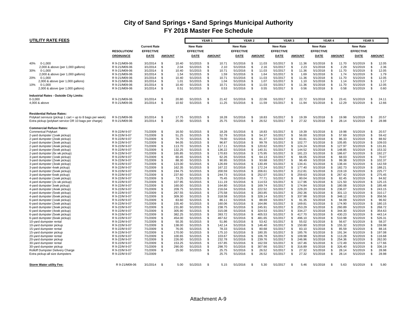| <b>UTILITY RATE FEES</b>                                                                      |                                |                      |               |                  |                      | YEAR <sub>1</sub> |                  |                      | YEAR 2   |                  |                      | YEAR <sub>3</sub> |                  |                      | YEAR 4   |                  |                      | YEAR 5         |                  |
|-----------------------------------------------------------------------------------------------|--------------------------------|----------------------|---------------|------------------|----------------------|-------------------|------------------|----------------------|----------|------------------|----------------------|-------------------|------------------|----------------------|----------|------------------|----------------------|----------------|------------------|
|                                                                                               |                                | <b>Current Rate</b>  |               |                  | <b>New Rate</b>      |                   |                  | <b>New Rate</b>      |          |                  | <b>New Rate</b>      |                   |                  | <b>New Rate</b>      |          |                  | <b>New Rate</b>      |                |                  |
|                                                                                               | <b>RESOLUTION/</b>             | <b>EFFECTIVE</b>     |               |                  | <b>EFFECTIVE</b>     |                   |                  | <b>EFFECTIVE</b>     |          |                  | <b>EFFECTIVE</b>     |                   |                  | <b>EFFECTIVE</b>     |          |                  | <b>EFFECTIVE</b>     |                |                  |
|                                                                                               | ORDINANCE                      | DATE                 | <b>AMOUNT</b> |                  | DATE                 |                   | <b>AMOUNT</b>    | <b>DATE</b>          |          | <b>AMOUNT</b>    | DATE                 |                   | <b>AMOUNT</b>    | <b>DATE</b>          |          | <b>AMOUNT</b>    | DATE                 |                | <b>AMOUNT</b>    |
|                                                                                               |                                |                      |               |                  |                      |                   |                  |                      |          |                  |                      |                   |                  |                      |          |                  |                      |                |                  |
| 40%<br>$0 - 1.000$                                                                            | R 9-21/M09-06                  | 3/1/2014             | -\$           | 10.40            | 5/1/2015             | \$                | 10.71            | 5/1/2016             | \$       | 11.03            | 5/1/2017             | \$                | 11.36            | 5/1/2018             | -\$      | 11.70            | 5/1/2019             | \$             | 12.05            |
| 2,000 & above (per 1,000 gallons)                                                             | R 9-21/M09-06                  | 3/1/2014             | - \$          | 2.04             | 5/1/2015             | \$.               | 2.10             | 5/1/2016             | - \$     | 2.16             | 5/1/2017             | <b>S</b>          | 2.23             | 5/1/2018             | -S       | 2.29             | 5/1/2019             | \$             | 2.36             |
| 30%<br>$0 - 1,000$                                                                            | R 9-21/M09-06                  | 3/1/2014             | \$            | 10.40            | 5/1/2015             | \$                | 10.71            | 5/1/2016             | \$       | 11.03            | 5/1/2017             | <b>S</b>          | 11.36            | 5/1/2018             | <b>S</b> | 11.70            | 5/1/2019             | \$             | 12.05            |
| 2,000 & above (per 1,000 gallons)                                                             | R 9-21/M09-06                  | 3/1/2014             | - \$          | 1.54             | 5/1/2015             | \$                | 1.59             | 5/1/2016             | \$       | 1.64             | 5/1/2017             | - \$              | 1.69             | 5/1/2018             | -S       | 1.74             | 5/1/2019             | \$             | 1.79             |
| 20%<br>$0 - 1.000$                                                                            | R 9-21/M09-06                  | 3/1/2014             | \$            | 10.40            | 5/1/2015             | \$                | 10.71            | 5/1/2016             | \$       | 11.03            | 5/1/2017             | - \$              | 11.36            | 5/1/2018             | -S       | 11.70            | 5/1/2019             | \$.            | 12.05            |
| 2,000 & above (per 1,000 gallons)                                                             | R 9-21/M09-06                  | 3/1/2014             | <b>S</b>      | 1.01             | 5/1/2015             | \$                | 1.04             | 5/1/2016             | \$       | 1.07             | 5/1/2017             | <b>S</b>          | 1.10             | 5/1/2018             | <b>S</b> | 1.14             | 5/1/2019             | \$             | 1.17             |
| 10%<br>$0 - 1.000$                                                                            | R 9-21/M09-06                  | 3/1/2014             | \$            | 10.40            | 5/1/2015             | \$.               | 10.71            | 5/1/2016             | \$       | 11.03            | 5/1/2017             | S.                | 11.36            | 5/1/2018             | -\$      | 11.70            | 5/1/2019             | \$             | 12.05            |
| 2,000 & above (per 1,000 gallons)                                                             | R 9-21/M09-06                  | 3/1/2014             | \$            | 0.51             | 5/1/2015             | \$                | 0.53             | 5/1/2016             | \$       | 0.55             | 5/1/2017             | <b>S</b>          | 0.56             | 5/1/2018             | <b>S</b> | 0.58             | 5/1/2019             | \$             | 0.60             |
| Industrial Rates - Outside City Limits:                                                       |                                |                      |               |                  |                      |                   |                  |                      |          |                  |                      |                   |                  |                      |          |                  |                      |                |                  |
| $0 - 3,000$                                                                                   | R 9-21/M09-06                  | 3/1/2014             | \$            | 20.80            | 5/1/2015             | \$                | 21.42            | 5/1/2016             | \$       | 22.06            | 5/1/2017             | \$                | 22.72            | 5/1/2018             | -\$      | 23.41            | 5/1/2019             | \$             | 24.11            |
| 4,000 & above                                                                                 | R 9-21/M09-06                  | 3/1/2014             | -\$           | 10.92            | 5/1/2015             | \$                | 11.25            | 5/1/2016             | \$       | 11.59            | 5/1/2017             | \$                | 11.94            | 5/1/2018             | - \$     | 12.29            | 5/1/2019             | \$             | 12.66            |
|                                                                                               |                                |                      |               |                  |                      |                   |                  |                      |          |                  |                      |                   |                  |                      |          |                  |                      |                |                  |
| <b>Residential Refuse Rates:</b><br>Polykart serviuce (pickup 1 cart + up to 8 bags per week) | R 9-21/M09-06                  | 3/1/2014             | \$            | 17.75            | 5/1/2015             | \$                | 18.28            | 5/1/2016             | \$       | 18.83            | 5/1/2017             | S.                | 19.39            | 5/1/2018             | - \$     | 19.98            | 5/1/2019             | \$             | 20.57            |
| Extra pickup (polykart service OR 10 bags per charge)                                         | R 9-21/M09-06                  | 3/1/2014             | \$            | 25.00            | 5/1/2015             | \$                | 25.75            | 5/1/2016             | \$       | 26.52            | 5/1/2017             | \$                | 27.32            | 5/1/2018             | \$       | 28.14            | 5/1/2019             | -\$            | 28.98            |
| <b>Commercial Refuse Rates:</b>                                                               |                                |                      |               |                  |                      |                   |                  |                      |          |                  |                      |                   |                  |                      |          |                  |                      |                |                  |
| <b>Commerical Polykart</b>                                                                    | R 9-22/M 9-07                  | 7/1/2009             | -\$           | 16.50            | 5/1/2015             | \$.               | 18.28            | 5/1/2016             | \$       | 18.83            | 5/1/2017             | - \$              | 19.39            | 5/1/2018             | <b>S</b> | 19.98            | 5/1/2019             | -\$            | 20.57            |
| 2-yard dumpster (1xwk pickup)                                                                 | R 9-22/M 9-07                  | 7/1/2009             | \$            | 51.25            | 5/1/2015             | \$                | 52.79            | 5/1/2016             | \$       | 54.37            | 5/1/2017             | \$                | 56.00            | 5/1/2018             | \$       | 57.69            | 5/1/2019             | \$             | 59.42            |
| 2-yard dumpster (2xwk pickup)                                                                 | R 9-22/M 9-07                  | 7/1/2009             | -\$           | 76.70            | 5/1/2015             | \$                | 79.00            | 5/1/2016             | \$       | 81.37            | 5/1/2017             | - \$              | 83.81            | 5/1/2018             | <b>S</b> | 86.33            | 5/1/2019             | \$             | 88.92            |
| 2-yard dumpster (3xwk pickup)                                                                 | R 9-22/M 9-07                  | 7/1/2009             | - \$          | 94.05            | 5/1/2015             | \$.               | 96.87            | 5/1/2016             | \$       | 99.78            | 5/1/2017             | S.                | 102.77           | 5/1/2018             | -S       | 105.85           | 5/1/2019             | \$             | 109.03           |
| 2-yard dumpster (4xwk pickup)                                                                 | R 9-22/M 9-07                  | 7/1/2009             | \$            | 113.70           | 5/1/2015             | \$                | 117.11           | 5/1/2016             | \$       | 120.62           | 5/1/2017             | $\mathfrak{S}$    | 124.24           | 5/1/2018             | <b>S</b> | 127.97           | 5/1/2019             | \$             | 131.81           |
| 2-yard dumpster (5xwk pickup)                                                                 | R 9-22/M 9-07                  | 7/1/2009             | \$            | 132.25           | 5/1/2015             | \$.               | 136.22           | 5/1/2016             | \$       | 140.31           | 5/1/2017             | \$                | 144.52           | 5/1/2018             | <b>S</b> | 148.85           | 5/1/2019             | \$             | 153.32           |
| 2-yard dumpster (6x wk pickup)                                                                | R 9-22/M 9-07                  | 7/1/2009             | \$            | 165.85           | 5/1/2015             | \$                | 170.83           | 5/1/2016             | \$       | 175.95           | 5/1/2017             | \$                | 181.23           | 5/1/2018             | \$       | 186.67           | 5/1/2019             | \$             | 192.27           |
| 3-yard dumpster (1xwk pickup)                                                                 | R 9-22/M 9-07                  | 7/1/2009             | - \$<br>- \$  | 60.45            | 5/1/2015             | \$.<br>\$.        | 62.26            | 5/1/2016             | \$       | 64.13            | 5/1/2017             | <b>S</b>          | 66.05            | 5/1/2018             | -S<br>-S | 68.03            | 5/1/2019             | \$             | 70.07<br>102.37  |
| 3-yard dumpster (2xwk pickup)<br>3-yard dumpster (3xwk pickup)                                | R 9-22/M 9-07<br>R 9-22/M 9-07 | 7/1/2009<br>7/1/2009 | \$            | 88.30<br>123.00  | 5/1/2015<br>5/1/2015 | \$                | 90.95<br>126.69  | 5/1/2016<br>5/1/2016 | \$<br>\$ | 93.68<br>130.49  | 5/1/2017<br>5/1/2017 | S.<br>- \$        | 96.49<br>134.41  | 5/1/2018<br>5/1/2018 | <b>S</b> | 99.38<br>138.44  | 5/1/2019<br>5/1/2019 | \$<br>\$       | 142.59           |
| 3-yard dumpster 4xwk pickup)                                                                  | R 9-22/M 9-07                  | 7/1/2009             | - \$          | 162.35           | 5/1/2015             | \$.               | 167.22           | 5/1/2016             | \$       | 172.24           | 5/1/2017             | S.                | 177.40           | 5/1/2018             | -S       | 182.73           | 5/1/2019             | \$.            | 188.21           |
| 3-yard dumpster (5xwk pickup)                                                                 | R 9-22/M 9-07                  | 7/1/2009             | \$            | 194.75           | 5/1/2015             | \$                | 200.59           | 5/1/2016             | \$       | 206.61           | 5/1/2017             | \$                | 212.81           | 5/1/2018             | <b>S</b> | 219.19           | 5/1/2019             | \$             | 225.77           |
| 3-yard dumpster 6xwk pickup)                                                                  | R 9-22/M 9-07                  | 7/1/2009             | \$            | 237.60           | 5/1/2015             | \$                | 244.73           | 5/1/2016             | \$       | 252.07           | 5/1/2017             | \$                | 259.63           | 5/1/2018             | <b>S</b> | 267.42           | 5/1/2019             | \$             | 275.45           |
| 4-yard dumpster (1xwk pickup)                                                                 | R 9-22/M 9-07                  | 7/1/2009             | - \$          | 73.25            | 5/1/2015             | \$.               | 75.45            | 5/1/2016             | \$       | 77.71            | 5/1/2017             | S.                | 80.04            | 5/1/2018             | ς.       | 82.45            | 5/1/2019             | \$             | 84.92            |
| 4-yard dumpster (2x wk pickup)                                                                | R 9-22/M 9-07                  | 7/1/2009             | \$            | 107.95           | 5/1/2015             | \$                | 111.19           | 5/1/2016             | \$       | 114.53           | 5/1/2017             | \$                | 117.96           | 5/1/2018             | <b>S</b> | 121.50           | 5/1/2019             | \$             | 125.15           |
| 4-yard dumpster 3xwk pickup)                                                                  | R 9-22/M 9-07                  | 7/1/2009             | \$            | 160.00           | 5/1/2015             | \$.               | 164.80           | 5/1/2016             | \$       | 169.74           | 5/1/2017             | S.                | 174.84           | 5/1/2018             | -S       | 180.08           | 5/1/2019             | \$.            | 185.48           |
| 4-yard dumpster (4xwk pickup)                                                                 | R 9-22/M 9-07                  | 7/1/2009             | \$            | 209.75           | 5/1/2015             | \$                | 216.04           | 5/1/2016             | \$       | 222.52           | 5/1/2017             | \$                | 229.20           | 5/1/2018             | <b>S</b> | 236.07           | 5/1/2019             | \$             | 243.15           |
| 4-yard dumpster (5xwk pickup)                                                                 | R 9-22/M 9-07                  | 7/1/2009             | \$            | 267.55           | 5/1/2015             | \$.               | 275.58           | 5/1/2016             | \$       | 283.85           | 5/1/2017             | \$                | 292.36           | 5/1/2018             | <b>S</b> | 301.13           | 5/1/2019             | \$             | 310.17           |
| 4-yard dumpster (6xwk pickup)                                                                 | R 9-22/M 9-07                  | 7/1/2009             | -\$           | 309.30           | 5/1/2015             | \$.               | 318.58           | 5/1/2016             | \$       | 328.14           | 5/1/2017             | S.                | 337.98           | 5/1/2018             | \$       | 348.12           | 5/1/2019             | \$             | 358.56           |
| 6-yard dumpster (1xwk pickup)                                                                 | R 9-22/M 9-07                  | 7/1/2009             | \$            | 83.60            | 5/1/2015             | \$                | 86.11            | 5/1/2016             | \$       | 88.69            | 5/1/2017             | <b>S</b>          | 91.35            | 5/1/2018             | <b>S</b> | 94.09            | 5/1/2019             | \$             | 96.92            |
| 6-yard dumpster (2xwk pickup)                                                                 | R 9-22/M 9-07                  | 7/1/2009             | \$<br>-\$     | 155.40           | 5/1/2015             | \$.               | 160.06           | 5/1/2016             | \$       | 164.86           | 5/1/2017             | <b>S</b>          | 169.81           | 5/1/2018             | -S<br>-S | 174.90           | 5/1/2019             | \$             | 180.15           |
| 6-yard dumpster (3xwk pickup)                                                                 | R 9-22/M 9-07<br>R 9-22/M 9-07 | 7/1/2009<br>7/1/2009 | \$            | 231.80<br>305.90 | 5/1/2015<br>5/1/2015 | \$.<br>\$         | 238.75<br>315.08 | 5/1/2016<br>5/1/2016 | \$<br>\$ | 245.91<br>324.53 | 5/1/2017<br>5/1/2017 | S.<br>\$          | 253.29<br>334.27 | 5/1/2018<br>5/1/2018 | - \$     | 260.89<br>344.30 | 5/1/2019<br>5/1/2019 | \$.<br>\$      | 268.72<br>354.63 |
| 6-yard dumpster (4xwk pickup)<br>6-yard dumpster (5xwk pickup)                                | R 9-22/M 9-07                  | 7/1/2009             | \$            | 382.25           | 5/1/2015             | \$                | 393.72           | 5/1/2016             | \$       | 405.53           | 5/1/2017             | \$                | 417.70           | 5/1/2018             | -S       | 430.23           | 5/1/2019             | \$             | 443.14           |
| 6-yard dumpster (6xwk pickup)                                                                 | R 9-22/M 9-07                  | 7/1/2009             | \$            | 454.00           | 5/1/2015             | \$                | 467.62           | 5/1/2016             | \$       | 481.65           | 5/1/2017             | S.                | 496.10           | 5/1/2018             | <b>S</b> | 510.98           | 5/1/2019             | \$.            | 526.31           |
| 10-yard dumpster rental                                                                       | R 9-22/M 9-07                  | 7/1/2009             | <b>S</b>      | 50.35            | 5/1/2015             | \$                | 51.86            | 5/1/2016             | \$       | 53.42            | 5/1/2017             | \$                | 55.02            | 5/1/2018             | -S       | 56.67            | 5/1/2019             | \$             | 58.37            |
| 10-yard dumpster pickup                                                                       | R 9-22/M 9-07                  | 7/1/2009             | \$            | 138.00           | 5/1/2015             | \$.               | 142.14           | 5/1/2016             | \$       | 146.40           | 5/1/2017             | - \$              | 150.80           | 5/1/2018             | <b>S</b> | 155.32           | 5/1/2019             | \$.            | 159.98           |
| 15-yard dumpster rental                                                                       | R 9-22/M 9-07                  | 7/1/2009             | \$            | 76.05            | 5/1/2015             | \$.               | 78.33            | 5/1/2016             | \$       | 80.68            | 5/1/2017             | \$                | 83.10            | 5/1/2018             | <b>S</b> | 85.59            | 5/1/2019             | \$             | 88.16            |
| 15-yard dumpster pickup                                                                       | R 9-22/M 9-07                  | 7/1/2009             | \$            | 170.00           | 5/1/2015             | \$.               | 175.10           | 5/1/2016             | \$       | 180.35           | 5/1/2017             | \$                | 185.76           | 5/1/2018             | -S       | 191.34           | 5/1/2019             | \$             | 197.08           |
| 20-yard dumpster rental                                                                       | R 9-22/M 9-07                  | 7/1/2009             | \$            | 100.65           | 5/1/2015             | \$                | 103.67           | 5/1/2016             | \$       | 106.78           | 5/1/2017             | \$                | 109.98           | 5/1/2018             | \$       | 113.28           | 5/1/2019             | \$             | 116.68           |
| 20-yard dumpster pickup                                                                       | R 9-22/M 9-07                  | 7/1/2009             | \$            | 226.00           | 5/1/2015             | \$                | 232.78           | 5/1/2016             | \$       | 239.76           | 5/1/2017             | <b>S</b>          | 246.96           | 5/1/2018             | <b>S</b> | 254.36           | 5/1/2019             | \$             | 262.00           |
| 30-yard dumpster rental                                                                       | R 9-22/M 9-07                  | 7/1/2009             | -\$           | 153.25           | 5/1/2015             | \$.               | 157.85           | 5/1/2016             | \$       | 162.59           | 5/1/2017             | S.                | 167.46           | 5/1/2018             | -S       | 172.49           | 5/1/2019             | \$             | 177.66           |
| 30-yard dumpster pickup                                                                       | R 9-22/M 9-07                  | 7/1/2009             | \$            | 290.00           | 5/1/2015             | \$                | 298.70           | 5/1/2016             | \$       | 307.66           | 5/1/2017             | S.                | 316.89           | 5/1/2018             | \$       | 326.40           | 5/1/2019             | \$             | 336.19           |
| Rolloff Dumpster Delivery Charge                                                              | R 9-22/M 9-07                  | 7/1/2009             | \$            | 25.00            | 5/1/2015             | \$                | 25.75            | 5/1/2016             | \$       | 26.52            | 5/1/2017             | \$                | 27.32            | 5/1/2018             | <b>S</b> | 28.14            | 5/1/2019             | \$             | 28.98            |
| Extra pickup-all size dumpsters                                                               | R 9-22/M 9-07                  | 7/1/2009             |               |                  |                      | \$.               | 25.75            | 5/1/2016             | \$       | 26.52            | 5/1/2017             | S.                | 27.32            | 5/1/2018             | -S       | 28.14            | 5/1/2019             | - \$           | 28.98            |
|                                                                                               |                                |                      | -9            |                  |                      | £.                |                  |                      | ς.       |                  |                      | $\mathfrak{R}$    |                  |                      | ς.       |                  |                      | $\mathfrak{R}$ |                  |
| <b>Storm Water utility Fee:</b>                                                               | R 9-21/M09-06                  | 3/1/2014             |               | 5.00             | 5/1/2015             |                   | 5.15             | 5/1/2016             |          | 5.30             | 5/1/2017             |                   | 5.46             | 5/1/2018             |          | 5.63             | 5/1/2019             |                | 5.80             |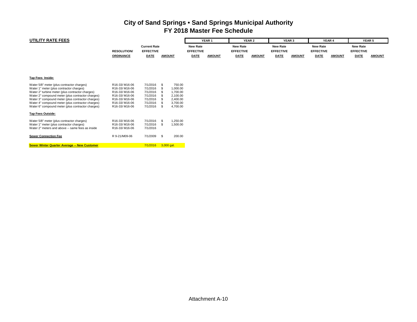| UTILITY RATE FEES                                                                                                                                                                                                                                                                                                                                                                          |                                                                                                                     |                                                                                  |                                                                                |                                     | YEAR <sub>1</sub> |                                     | YEAR 2        |                                     | YEAR <sub>3</sub> |                                     | YEAR 4        |                                     | YEAR <sub>5</sub> |
|--------------------------------------------------------------------------------------------------------------------------------------------------------------------------------------------------------------------------------------------------------------------------------------------------------------------------------------------------------------------------------------------|---------------------------------------------------------------------------------------------------------------------|----------------------------------------------------------------------------------|--------------------------------------------------------------------------------|-------------------------------------|-------------------|-------------------------------------|---------------|-------------------------------------|-------------------|-------------------------------------|---------------|-------------------------------------|-------------------|
|                                                                                                                                                                                                                                                                                                                                                                                            | <b>RESOLUTION/</b>                                                                                                  | <b>Current Rate</b><br><b>EFFECTIVE</b>                                          |                                                                                | <b>New Rate</b><br><b>EFFECTIVE</b> |                   | <b>New Rate</b><br><b>EFFECTIVE</b> |               | <b>New Rate</b><br><b>EFFECTIVE</b> |                   | <b>New Rate</b><br><b>EFFECTIVE</b> |               | <b>New Rate</b><br><b>EFFECTIVE</b> |                   |
|                                                                                                                                                                                                                                                                                                                                                                                            | <b>ORDINANCE</b>                                                                                                    | <b>DATE</b>                                                                      | <b>AMOUNT</b>                                                                  | <b>DATE</b>                         | <b>AMOUNT</b>     | <b>DATE</b>                         | <b>AMOUNT</b> | DATE                                | <b>AMOUNT</b>     | <b>DATE</b>                         | <b>AMOUNT</b> | <b>DATE</b>                         | <b>AMOUNT</b>     |
|                                                                                                                                                                                                                                                                                                                                                                                            |                                                                                                                     |                                                                                  |                                                                                |                                     |                   |                                     |               |                                     |                   |                                     |               |                                     |                   |
| Tap Fees Inside:                                                                                                                                                                                                                                                                                                                                                                           |                                                                                                                     |                                                                                  |                                                                                |                                     |                   |                                     |               |                                     |                   |                                     |               |                                     |                   |
| Water 5/8" meter (plus contractor charges)<br>Water 1" meter (plus contractor charges)<br>Water 2" turbine meter (plus contractor charges)<br>Water 2" compound meter (plus contractor charges)<br>Water 3" compound meter (plus contractor charges)<br>Water 4" compound meter (plus contractor charges)<br>Water 6" compound meter (plus contractor charges)<br><u>Tap Fees Outside:</u> | R16-33/M16-06<br>R16-33/M16-06<br>R16-33/M16-06<br>R16-33/M16-06<br>R16-33/M16-06<br>R16-33/M16-06<br>R16-33/M16-06 | 7/1/2016<br>7/1/2016<br>7/1/2016<br>7/1/2016<br>7/1/2016<br>7/1/2016<br>7/1/2016 | 750.00<br>1,000.00<br>1,700.00<br>2,100.00<br>2,400.00<br>3,700.00<br>4,700.00 |                                     |                   |                                     |               |                                     |                   |                                     |               |                                     |                   |
| Water 5/8" meter (plus contractor charges)<br>Water 1" meter (plus contractor charges)<br>Water 2" meters and above -- same fees as inside<br><b>Sewer Connection Fee</b>                                                                                                                                                                                                                  | R16-33/M16-06<br>R16-33/M16-06<br>R16-33/M16-06<br>R 9-21/M09-06                                                    | 7/1/2016<br>7/1/2016<br>7/1/2016<br>7/1/2009                                     | 1.250.00<br>- \$<br>1,500.00<br>200.00<br>- \$                                 |                                     |                   |                                     |               |                                     |                   |                                     |               |                                     |                   |
| Sewer Winter Quarter Average -- New Customer                                                                                                                                                                                                                                                                                                                                               |                                                                                                                     | 7/1/2016                                                                         | $3,000$ gal.                                                                   |                                     |                   |                                     |               |                                     |                   |                                     |               |                                     |                   |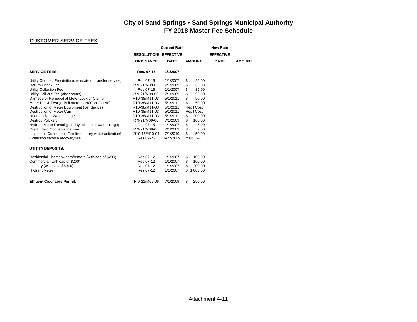## **CUSTOMER SERVICE FEES**

|                                                                                                                                                                                                                                                                                                                                                                                                                                                                                                                                                                                   | <b>RESOLUTION/ EFFECTIVE</b><br><b>ORDINANCE</b>                                                                                                                                                                                                                                                         | <b>Current Rate</b><br><b>DATE</b>                                                                                                                                    | <b>AMOUNT</b>                                                                                                                                                                                          | <b>New Rate</b><br><b>EFFECTIVE</b><br><b>DATE</b> | <b>AMOUNT</b> |
|-----------------------------------------------------------------------------------------------------------------------------------------------------------------------------------------------------------------------------------------------------------------------------------------------------------------------------------------------------------------------------------------------------------------------------------------------------------------------------------------------------------------------------------------------------------------------------------|----------------------------------------------------------------------------------------------------------------------------------------------------------------------------------------------------------------------------------------------------------------------------------------------------------|-----------------------------------------------------------------------------------------------------------------------------------------------------------------------|--------------------------------------------------------------------------------------------------------------------------------------------------------------------------------------------------------|----------------------------------------------------|---------------|
| <b>SERVICE FEES:</b>                                                                                                                                                                                                                                                                                                                                                                                                                                                                                                                                                              | Res. 07-15                                                                                                                                                                                                                                                                                               | 1/1/2007                                                                                                                                                              |                                                                                                                                                                                                        |                                                    |               |
| Utility Connect Fee (initiate, reinsate or transfer service)<br><b>Return Check Fee</b><br>Utility Collection Fee<br>Utility Call-out Fee (after hours)<br>Damage or Removal of Meter Lock or Clamp<br>Meter Pull & Test (only if meter is NOT defective)<br>Destruction of Meter Equipment (per device)<br>Destruction of Meter Can<br>Unauthorized Water Usage<br><b>Destroy Polykart</b><br>Hydrant Meter Rental (per day, plus total water usage)<br>Credit Card Convenience Fee<br>Inspection Connection Fee (temporary water activation)<br>Collection service recovery fee | Res.07-15<br>R 9-21/M09-06<br>Res.07-15<br>R 9-21/M09-06<br>R10-38/M11-03<br>R10-38/M11-03<br>R <sub>10</sub> -38/M <sub>11</sub> -03<br>R <sub>10</sub> -38/M <sub>11</sub> -03<br>R10-38/M11-03<br>R 9-21/M09-06<br>Res.07-15<br>R 9-21/M09-06<br>R <sub>10</sub> -16/M <sub>10</sub> -04<br>Res 09-25 | 1/1/2007<br>7/1/2009<br>1/1/2007<br>7/1/2009<br>5/1/2011<br>5/1/2011<br>5/1/2011<br>5/1/2011<br>5/1/2011<br>7/1/2009<br>1/1/2007<br>7/1/2009<br>7/1/2010<br>6/22/2009 | 25.00<br>S<br>\$<br>35.00<br>\$<br>35.00<br>\$<br>50.00<br>\$<br>50.00<br>\$<br>50.00<br>Rep'l Cost<br>Rep'l Cost<br>200.00<br>S<br>\$<br>100.00<br>\$<br>5.00<br>\$<br>2.00<br>\$<br>50.00<br>max 35% |                                                    |               |
| UTITITY DEPOSITS:                                                                                                                                                                                                                                                                                                                                                                                                                                                                                                                                                                 |                                                                                                                                                                                                                                                                                                          |                                                                                                                                                                       |                                                                                                                                                                                                        |                                                    |               |
| Residential - homeowners/renters (with cap of \$200)<br>Commercial (with cap of \$200)<br>Industry (with cap of \$300)<br><b>Hydrant Meter</b>                                                                                                                                                                                                                                                                                                                                                                                                                                    | Res 07-12<br>Res.07-12<br>Res.07-12<br>Res.07-12                                                                                                                                                                                                                                                         | 1/1/2007<br>1/1/2007<br>1/1/2007<br>1/1/2007                                                                                                                          | 100.00<br>S<br>\$<br>100.00<br>\$<br>200.00<br>1,000.00<br>\$                                                                                                                                          |                                                    |               |
| <b>Effluent Cischarge Permit:</b>                                                                                                                                                                                                                                                                                                                                                                                                                                                                                                                                                 | R 9-21/M09-06                                                                                                                                                                                                                                                                                            | 7/1/2009                                                                                                                                                              | \$<br>250.00                                                                                                                                                                                           |                                                    |               |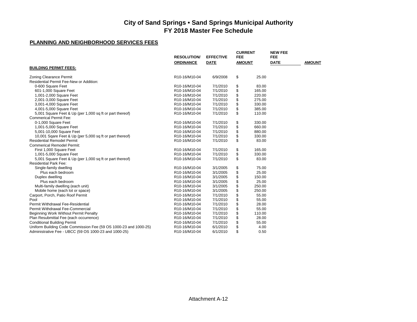| <b>ORDINANCE</b><br><b>DATE</b><br><b>DATE</b><br><b>AMOUNT</b><br><b>AMOUNT</b><br><b>BUILDING PERMIT FEES:</b><br>\$<br>25.00<br><b>Zoning Clearance Permit</b><br>R10-16/M10-04<br>6/9/2008<br>Residential Permit Fee-New or Addition:<br>7/1/2010<br>0-600 Square Feet<br>R10-16/M10-04<br>\$<br>83.00<br>\$<br>601-1,000 Square Feet<br>7/1/2010<br>165.00<br>R10-16/M10-04<br>\$<br>220.00<br>1,001-2,000 Square Feet<br>R10-16/M10-04<br>7/1/2010<br>\$<br>2,001-3,000 Square Feet<br>R10-16/M10-04<br>7/1/2010<br>275.00<br>\$<br>3,001-4,000 Square Feet<br>7/1/2010<br>330.00<br>R10-16/M10-04<br>\$<br>4,001-5,000 Square Feet<br>7/1/2010<br>385.00<br>R10-16/M10-04<br>\$<br>5,001 Square Feet & Up (per 1,000 sq ft or part thereof)<br>7/1/2010<br>110.00<br>R10-16/M10-04<br><b>Commerical Permit Fee:</b><br>\$<br>0-1,000 Square Feet<br>R10-16/M10-04<br>7/1/2010<br>330.00<br>\$<br>7/1/2010<br>660.00<br>1,001-5,000 Square Feet<br>R10-16/M10-04<br>\$<br>5,001-10,000 Square Feet<br>880.00<br>R10-16/M10-04<br>7/1/2010<br>\$<br>7/1/2010<br>10,001 Sqare Feet & Up (per 5,000 sq ft or part thereof)<br>R10-16/M10-04<br>330.00<br>\$<br><b>Residential Remodel Permit</b><br>83.00<br>R10-16/M10-04<br>7/1/2010<br><b>Commerical Remodel Permit:</b><br>7/1/2010<br>\$<br>165.00<br>First 1,000 Square Feet<br>R10-16/M10-04<br>\$<br>7/1/2010<br>330.00<br>1,001-5,000 Square Feet<br>R10-16/M10-04<br>\$<br>5,001 Square Feet & Up (per 1,000 sq ft or part thereof)<br>7/1/2010<br>83.00<br>R10-16/M10-04<br><b>Residential Park Fee:</b><br>\$<br>Single-family dwelling<br>R10-16/M10-04<br>3/1/2005<br>75.00<br>\$<br>3/1/2005<br>25.00<br>Plus each bedroom<br>R10-16/M10-04<br>\$<br>Duplex dwelling<br>3/1/2005<br>150.00<br>R10-16/M10-04<br>\$<br>3/1/2005<br>25.00<br>Plus each bedroom<br>R10-16/M10-04<br>\$<br>250.00<br>Multi-family dwelling (each unit)<br>R10-16/M10-04<br>3/1/2005<br>\$<br>R10-16/M10-04<br>3/1/2005<br>250.00<br>Mobile home (each lot or space)<br>\$<br>Carport, Porch, Patio Roof Permit<br>R10-16/M10-04<br>7/1/2010<br>55.00<br>\$<br>Pool<br>7/1/2010<br>55.00<br>R10-16/M10-04<br>\$<br>Permit Withdrawal Fee-Residential<br>7/1/2010<br>28.00<br>R10-16/M10-04<br>\$<br>Permit Withdrawal Fee-Commercial<br>7/1/2010<br>55.00<br>R10-16/M10-04<br>\$<br>Beginning Work Without Permit Penalty<br>7/1/2010<br>110.00<br>R10-16/M10-04<br>\$<br>Plan Resubmittal Fee (each occurrence)<br>R10-16/M10-04<br>7/1/2010<br>28.00<br>\$<br><b>Conditional Building Permit</b><br>R10-16/M10-04<br>7/1/2010<br>55.00<br>\$<br>Uniform Building Code Commission Fee (59 OS 1000-23 and 1000-25)<br>4.00<br>R10-16/M10-04<br>6/1/2010<br>\$<br>Administrative Fee - UBCC (59 OS 1000-23 and 1000-25)<br>6/1/2010<br>0.50<br>R10-16/M10-04 | <b>RESOLUTION/</b> | <b>EFFECTIVE</b> | <b>CURRENT</b><br><b>FEE</b> |  | <b>NEW FEE</b><br><b>FEE</b> |  |
|---------------------------------------------------------------------------------------------------------------------------------------------------------------------------------------------------------------------------------------------------------------------------------------------------------------------------------------------------------------------------------------------------------------------------------------------------------------------------------------------------------------------------------------------------------------------------------------------------------------------------------------------------------------------------------------------------------------------------------------------------------------------------------------------------------------------------------------------------------------------------------------------------------------------------------------------------------------------------------------------------------------------------------------------------------------------------------------------------------------------------------------------------------------------------------------------------------------------------------------------------------------------------------------------------------------------------------------------------------------------------------------------------------------------------------------------------------------------------------------------------------------------------------------------------------------------------------------------------------------------------------------------------------------------------------------------------------------------------------------------------------------------------------------------------------------------------------------------------------------------------------------------------------------------------------------------------------------------------------------------------------------------------------------------------------------------------------------------------------------------------------------------------------------------------------------------------------------------------------------------------------------------------------------------------------------------------------------------------------------------------------------------------------------------------------------------------------------------------------------------------------------------------------------------------------------------------------------------------------------------------------------------------------------------------------------------------------------------------------------------------------------------------------------------------------|--------------------|------------------|------------------------------|--|------------------------------|--|
|                                                                                                                                                                                                                                                                                                                                                                                                                                                                                                                                                                                                                                                                                                                                                                                                                                                                                                                                                                                                                                                                                                                                                                                                                                                                                                                                                                                                                                                                                                                                                                                                                                                                                                                                                                                                                                                                                                                                                                                                                                                                                                                                                                                                                                                                                                                                                                                                                                                                                                                                                                                                                                                                                                                                                                                                         |                    |                  |                              |  |                              |  |
|                                                                                                                                                                                                                                                                                                                                                                                                                                                                                                                                                                                                                                                                                                                                                                                                                                                                                                                                                                                                                                                                                                                                                                                                                                                                                                                                                                                                                                                                                                                                                                                                                                                                                                                                                                                                                                                                                                                                                                                                                                                                                                                                                                                                                                                                                                                                                                                                                                                                                                                                                                                                                                                                                                                                                                                                         |                    |                  |                              |  |                              |  |
|                                                                                                                                                                                                                                                                                                                                                                                                                                                                                                                                                                                                                                                                                                                                                                                                                                                                                                                                                                                                                                                                                                                                                                                                                                                                                                                                                                                                                                                                                                                                                                                                                                                                                                                                                                                                                                                                                                                                                                                                                                                                                                                                                                                                                                                                                                                                                                                                                                                                                                                                                                                                                                                                                                                                                                                                         |                    |                  |                              |  |                              |  |
|                                                                                                                                                                                                                                                                                                                                                                                                                                                                                                                                                                                                                                                                                                                                                                                                                                                                                                                                                                                                                                                                                                                                                                                                                                                                                                                                                                                                                                                                                                                                                                                                                                                                                                                                                                                                                                                                                                                                                                                                                                                                                                                                                                                                                                                                                                                                                                                                                                                                                                                                                                                                                                                                                                                                                                                                         |                    |                  |                              |  |                              |  |
|                                                                                                                                                                                                                                                                                                                                                                                                                                                                                                                                                                                                                                                                                                                                                                                                                                                                                                                                                                                                                                                                                                                                                                                                                                                                                                                                                                                                                                                                                                                                                                                                                                                                                                                                                                                                                                                                                                                                                                                                                                                                                                                                                                                                                                                                                                                                                                                                                                                                                                                                                                                                                                                                                                                                                                                                         |                    |                  |                              |  |                              |  |
|                                                                                                                                                                                                                                                                                                                                                                                                                                                                                                                                                                                                                                                                                                                                                                                                                                                                                                                                                                                                                                                                                                                                                                                                                                                                                                                                                                                                                                                                                                                                                                                                                                                                                                                                                                                                                                                                                                                                                                                                                                                                                                                                                                                                                                                                                                                                                                                                                                                                                                                                                                                                                                                                                                                                                                                                         |                    |                  |                              |  |                              |  |
|                                                                                                                                                                                                                                                                                                                                                                                                                                                                                                                                                                                                                                                                                                                                                                                                                                                                                                                                                                                                                                                                                                                                                                                                                                                                                                                                                                                                                                                                                                                                                                                                                                                                                                                                                                                                                                                                                                                                                                                                                                                                                                                                                                                                                                                                                                                                                                                                                                                                                                                                                                                                                                                                                                                                                                                                         |                    |                  |                              |  |                              |  |
|                                                                                                                                                                                                                                                                                                                                                                                                                                                                                                                                                                                                                                                                                                                                                                                                                                                                                                                                                                                                                                                                                                                                                                                                                                                                                                                                                                                                                                                                                                                                                                                                                                                                                                                                                                                                                                                                                                                                                                                                                                                                                                                                                                                                                                                                                                                                                                                                                                                                                                                                                                                                                                                                                                                                                                                                         |                    |                  |                              |  |                              |  |
|                                                                                                                                                                                                                                                                                                                                                                                                                                                                                                                                                                                                                                                                                                                                                                                                                                                                                                                                                                                                                                                                                                                                                                                                                                                                                                                                                                                                                                                                                                                                                                                                                                                                                                                                                                                                                                                                                                                                                                                                                                                                                                                                                                                                                                                                                                                                                                                                                                                                                                                                                                                                                                                                                                                                                                                                         |                    |                  |                              |  |                              |  |
|                                                                                                                                                                                                                                                                                                                                                                                                                                                                                                                                                                                                                                                                                                                                                                                                                                                                                                                                                                                                                                                                                                                                                                                                                                                                                                                                                                                                                                                                                                                                                                                                                                                                                                                                                                                                                                                                                                                                                                                                                                                                                                                                                                                                                                                                                                                                                                                                                                                                                                                                                                                                                                                                                                                                                                                                         |                    |                  |                              |  |                              |  |
|                                                                                                                                                                                                                                                                                                                                                                                                                                                                                                                                                                                                                                                                                                                                                                                                                                                                                                                                                                                                                                                                                                                                                                                                                                                                                                                                                                                                                                                                                                                                                                                                                                                                                                                                                                                                                                                                                                                                                                                                                                                                                                                                                                                                                                                                                                                                                                                                                                                                                                                                                                                                                                                                                                                                                                                                         |                    |                  |                              |  |                              |  |
|                                                                                                                                                                                                                                                                                                                                                                                                                                                                                                                                                                                                                                                                                                                                                                                                                                                                                                                                                                                                                                                                                                                                                                                                                                                                                                                                                                                                                                                                                                                                                                                                                                                                                                                                                                                                                                                                                                                                                                                                                                                                                                                                                                                                                                                                                                                                                                                                                                                                                                                                                                                                                                                                                                                                                                                                         |                    |                  |                              |  |                              |  |
|                                                                                                                                                                                                                                                                                                                                                                                                                                                                                                                                                                                                                                                                                                                                                                                                                                                                                                                                                                                                                                                                                                                                                                                                                                                                                                                                                                                                                                                                                                                                                                                                                                                                                                                                                                                                                                                                                                                                                                                                                                                                                                                                                                                                                                                                                                                                                                                                                                                                                                                                                                                                                                                                                                                                                                                                         |                    |                  |                              |  |                              |  |
|                                                                                                                                                                                                                                                                                                                                                                                                                                                                                                                                                                                                                                                                                                                                                                                                                                                                                                                                                                                                                                                                                                                                                                                                                                                                                                                                                                                                                                                                                                                                                                                                                                                                                                                                                                                                                                                                                                                                                                                                                                                                                                                                                                                                                                                                                                                                                                                                                                                                                                                                                                                                                                                                                                                                                                                                         |                    |                  |                              |  |                              |  |
|                                                                                                                                                                                                                                                                                                                                                                                                                                                                                                                                                                                                                                                                                                                                                                                                                                                                                                                                                                                                                                                                                                                                                                                                                                                                                                                                                                                                                                                                                                                                                                                                                                                                                                                                                                                                                                                                                                                                                                                                                                                                                                                                                                                                                                                                                                                                                                                                                                                                                                                                                                                                                                                                                                                                                                                                         |                    |                  |                              |  |                              |  |
|                                                                                                                                                                                                                                                                                                                                                                                                                                                                                                                                                                                                                                                                                                                                                                                                                                                                                                                                                                                                                                                                                                                                                                                                                                                                                                                                                                                                                                                                                                                                                                                                                                                                                                                                                                                                                                                                                                                                                                                                                                                                                                                                                                                                                                                                                                                                                                                                                                                                                                                                                                                                                                                                                                                                                                                                         |                    |                  |                              |  |                              |  |
|                                                                                                                                                                                                                                                                                                                                                                                                                                                                                                                                                                                                                                                                                                                                                                                                                                                                                                                                                                                                                                                                                                                                                                                                                                                                                                                                                                                                                                                                                                                                                                                                                                                                                                                                                                                                                                                                                                                                                                                                                                                                                                                                                                                                                                                                                                                                                                                                                                                                                                                                                                                                                                                                                                                                                                                                         |                    |                  |                              |  |                              |  |
|                                                                                                                                                                                                                                                                                                                                                                                                                                                                                                                                                                                                                                                                                                                                                                                                                                                                                                                                                                                                                                                                                                                                                                                                                                                                                                                                                                                                                                                                                                                                                                                                                                                                                                                                                                                                                                                                                                                                                                                                                                                                                                                                                                                                                                                                                                                                                                                                                                                                                                                                                                                                                                                                                                                                                                                                         |                    |                  |                              |  |                              |  |
|                                                                                                                                                                                                                                                                                                                                                                                                                                                                                                                                                                                                                                                                                                                                                                                                                                                                                                                                                                                                                                                                                                                                                                                                                                                                                                                                                                                                                                                                                                                                                                                                                                                                                                                                                                                                                                                                                                                                                                                                                                                                                                                                                                                                                                                                                                                                                                                                                                                                                                                                                                                                                                                                                                                                                                                                         |                    |                  |                              |  |                              |  |
|                                                                                                                                                                                                                                                                                                                                                                                                                                                                                                                                                                                                                                                                                                                                                                                                                                                                                                                                                                                                                                                                                                                                                                                                                                                                                                                                                                                                                                                                                                                                                                                                                                                                                                                                                                                                                                                                                                                                                                                                                                                                                                                                                                                                                                                                                                                                                                                                                                                                                                                                                                                                                                                                                                                                                                                                         |                    |                  |                              |  |                              |  |
|                                                                                                                                                                                                                                                                                                                                                                                                                                                                                                                                                                                                                                                                                                                                                                                                                                                                                                                                                                                                                                                                                                                                                                                                                                                                                                                                                                                                                                                                                                                                                                                                                                                                                                                                                                                                                                                                                                                                                                                                                                                                                                                                                                                                                                                                                                                                                                                                                                                                                                                                                                                                                                                                                                                                                                                                         |                    |                  |                              |  |                              |  |
|                                                                                                                                                                                                                                                                                                                                                                                                                                                                                                                                                                                                                                                                                                                                                                                                                                                                                                                                                                                                                                                                                                                                                                                                                                                                                                                                                                                                                                                                                                                                                                                                                                                                                                                                                                                                                                                                                                                                                                                                                                                                                                                                                                                                                                                                                                                                                                                                                                                                                                                                                                                                                                                                                                                                                                                                         |                    |                  |                              |  |                              |  |
|                                                                                                                                                                                                                                                                                                                                                                                                                                                                                                                                                                                                                                                                                                                                                                                                                                                                                                                                                                                                                                                                                                                                                                                                                                                                                                                                                                                                                                                                                                                                                                                                                                                                                                                                                                                                                                                                                                                                                                                                                                                                                                                                                                                                                                                                                                                                                                                                                                                                                                                                                                                                                                                                                                                                                                                                         |                    |                  |                              |  |                              |  |
|                                                                                                                                                                                                                                                                                                                                                                                                                                                                                                                                                                                                                                                                                                                                                                                                                                                                                                                                                                                                                                                                                                                                                                                                                                                                                                                                                                                                                                                                                                                                                                                                                                                                                                                                                                                                                                                                                                                                                                                                                                                                                                                                                                                                                                                                                                                                                                                                                                                                                                                                                                                                                                                                                                                                                                                                         |                    |                  |                              |  |                              |  |
|                                                                                                                                                                                                                                                                                                                                                                                                                                                                                                                                                                                                                                                                                                                                                                                                                                                                                                                                                                                                                                                                                                                                                                                                                                                                                                                                                                                                                                                                                                                                                                                                                                                                                                                                                                                                                                                                                                                                                                                                                                                                                                                                                                                                                                                                                                                                                                                                                                                                                                                                                                                                                                                                                                                                                                                                         |                    |                  |                              |  |                              |  |
|                                                                                                                                                                                                                                                                                                                                                                                                                                                                                                                                                                                                                                                                                                                                                                                                                                                                                                                                                                                                                                                                                                                                                                                                                                                                                                                                                                                                                                                                                                                                                                                                                                                                                                                                                                                                                                                                                                                                                                                                                                                                                                                                                                                                                                                                                                                                                                                                                                                                                                                                                                                                                                                                                                                                                                                                         |                    |                  |                              |  |                              |  |
|                                                                                                                                                                                                                                                                                                                                                                                                                                                                                                                                                                                                                                                                                                                                                                                                                                                                                                                                                                                                                                                                                                                                                                                                                                                                                                                                                                                                                                                                                                                                                                                                                                                                                                                                                                                                                                                                                                                                                                                                                                                                                                                                                                                                                                                                                                                                                                                                                                                                                                                                                                                                                                                                                                                                                                                                         |                    |                  |                              |  |                              |  |
|                                                                                                                                                                                                                                                                                                                                                                                                                                                                                                                                                                                                                                                                                                                                                                                                                                                                                                                                                                                                                                                                                                                                                                                                                                                                                                                                                                                                                                                                                                                                                                                                                                                                                                                                                                                                                                                                                                                                                                                                                                                                                                                                                                                                                                                                                                                                                                                                                                                                                                                                                                                                                                                                                                                                                                                                         |                    |                  |                              |  |                              |  |
|                                                                                                                                                                                                                                                                                                                                                                                                                                                                                                                                                                                                                                                                                                                                                                                                                                                                                                                                                                                                                                                                                                                                                                                                                                                                                                                                                                                                                                                                                                                                                                                                                                                                                                                                                                                                                                                                                                                                                                                                                                                                                                                                                                                                                                                                                                                                                                                                                                                                                                                                                                                                                                                                                                                                                                                                         |                    |                  |                              |  |                              |  |
|                                                                                                                                                                                                                                                                                                                                                                                                                                                                                                                                                                                                                                                                                                                                                                                                                                                                                                                                                                                                                                                                                                                                                                                                                                                                                                                                                                                                                                                                                                                                                                                                                                                                                                                                                                                                                                                                                                                                                                                                                                                                                                                                                                                                                                                                                                                                                                                                                                                                                                                                                                                                                                                                                                                                                                                                         |                    |                  |                              |  |                              |  |
|                                                                                                                                                                                                                                                                                                                                                                                                                                                                                                                                                                                                                                                                                                                                                                                                                                                                                                                                                                                                                                                                                                                                                                                                                                                                                                                                                                                                                                                                                                                                                                                                                                                                                                                                                                                                                                                                                                                                                                                                                                                                                                                                                                                                                                                                                                                                                                                                                                                                                                                                                                                                                                                                                                                                                                                                         |                    |                  |                              |  |                              |  |
|                                                                                                                                                                                                                                                                                                                                                                                                                                                                                                                                                                                                                                                                                                                                                                                                                                                                                                                                                                                                                                                                                                                                                                                                                                                                                                                                                                                                                                                                                                                                                                                                                                                                                                                                                                                                                                                                                                                                                                                                                                                                                                                                                                                                                                                                                                                                                                                                                                                                                                                                                                                                                                                                                                                                                                                                         |                    |                  |                              |  |                              |  |
|                                                                                                                                                                                                                                                                                                                                                                                                                                                                                                                                                                                                                                                                                                                                                                                                                                                                                                                                                                                                                                                                                                                                                                                                                                                                                                                                                                                                                                                                                                                                                                                                                                                                                                                                                                                                                                                                                                                                                                                                                                                                                                                                                                                                                                                                                                                                                                                                                                                                                                                                                                                                                                                                                                                                                                                                         |                    |                  |                              |  |                              |  |
|                                                                                                                                                                                                                                                                                                                                                                                                                                                                                                                                                                                                                                                                                                                                                                                                                                                                                                                                                                                                                                                                                                                                                                                                                                                                                                                                                                                                                                                                                                                                                                                                                                                                                                                                                                                                                                                                                                                                                                                                                                                                                                                                                                                                                                                                                                                                                                                                                                                                                                                                                                                                                                                                                                                                                                                                         |                    |                  |                              |  |                              |  |
|                                                                                                                                                                                                                                                                                                                                                                                                                                                                                                                                                                                                                                                                                                                                                                                                                                                                                                                                                                                                                                                                                                                                                                                                                                                                                                                                                                                                                                                                                                                                                                                                                                                                                                                                                                                                                                                                                                                                                                                                                                                                                                                                                                                                                                                                                                                                                                                                                                                                                                                                                                                                                                                                                                                                                                                                         |                    |                  |                              |  |                              |  |
|                                                                                                                                                                                                                                                                                                                                                                                                                                                                                                                                                                                                                                                                                                                                                                                                                                                                                                                                                                                                                                                                                                                                                                                                                                                                                                                                                                                                                                                                                                                                                                                                                                                                                                                                                                                                                                                                                                                                                                                                                                                                                                                                                                                                                                                                                                                                                                                                                                                                                                                                                                                                                                                                                                                                                                                                         |                    |                  |                              |  |                              |  |
|                                                                                                                                                                                                                                                                                                                                                                                                                                                                                                                                                                                                                                                                                                                                                                                                                                                                                                                                                                                                                                                                                                                                                                                                                                                                                                                                                                                                                                                                                                                                                                                                                                                                                                                                                                                                                                                                                                                                                                                                                                                                                                                                                                                                                                                                                                                                                                                                                                                                                                                                                                                                                                                                                                                                                                                                         |                    |                  |                              |  |                              |  |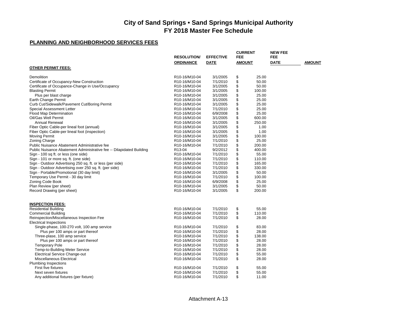|                                                                      | <b>RESOLUTION/</b>                      | <b>EFFECTIVE</b> | <b>CURRENT</b><br><b>FEE</b> | <b>NEW FEE</b><br><b>FEE</b> |               |
|----------------------------------------------------------------------|-----------------------------------------|------------------|------------------------------|------------------------------|---------------|
|                                                                      | <b>ORDINANCE</b>                        | <b>DATE</b>      | <b>AMOUNT</b>                | <b>DATE</b>                  | <b>AMOUNT</b> |
| <b>OTHER PERMIT FEES:</b>                                            |                                         |                  |                              |                              |               |
|                                                                      |                                         |                  |                              |                              |               |
| Demolition                                                           | R10-16/M10-04                           | 3/1/2005         | \$<br>25.00                  |                              |               |
| Certificate of Occupancy-New Construction                            | R10-16/M10-04                           | 7/1/2010         | \$<br>50.00                  |                              |               |
| Certificate of Occupance-Change in Use/Occupancy                     | R10-16/M10-04                           | 3/1/2005         | \$<br>50.00                  |                              |               |
| <b>Blasting Permit</b>                                               | R <sub>10</sub> -16/M <sub>10</sub> -04 | 3/1/2005         | \$<br>100.00                 |                              |               |
| Plus per blast charge                                                | R10-16/M10-04                           | 3/1/2005         | \$<br>25.00                  |                              |               |
| Earth Change Permit                                                  | R10-16/M10-04                           | 3/1/2005         | \$<br>25.00                  |                              |               |
| Curb Cut/Sidewalk/Pavement Cut/Boring Permit                         | R <sub>10</sub> -16/M <sub>10</sub> -04 | 3/1/2005         | \$<br>25.00                  |                              |               |
| Special Assessment Letter                                            | R10-16/M10-04                           | 7/1/2010         | \$<br>25.00                  |                              |               |
| <b>Flood Map Determination</b>                                       | R <sub>10</sub> -16/M <sub>10</sub> -04 | 6/9/2008         | \$<br>25.00                  |                              |               |
| Oil/Gas Well Permit                                                  | R10-16/M10-04                           | 3/1/2005         | \$<br>600.00                 |                              |               |
| <b>Annual Renewal</b>                                                | R10-16/M10-04                           | 3/1/2005         | \$<br>250.00                 |                              |               |
| Fiber Optic Cable-per lineal foot (annual)                           | R10-16/M10-04                           | 3/1/2005         | \$<br>1.00                   |                              |               |
| Fiber Optic Cable-per lineal foot (inspection)                       | R10-16/M10-04                           | 3/1/2005         | \$<br>1.00                   |                              |               |
| <b>Moving Permit</b>                                                 | R10-16/M10-04                           | 3/1/2005         | \$<br>100.00                 |                              |               |
| Zoning Charge                                                        | R10-16/M10-04                           | 7/1/2010         | \$<br>25.00                  |                              |               |
| Public Nuisance Abatement Administrative fee                         | R <sub>10</sub> -16/M <sub>10</sub> -04 | 7/1/2010         | \$<br>200.00                 |                              |               |
| Public Nuisance Abatement Administrative fee -- Dilapidated Building | R <sub>13</sub> -04                     | 9/2/2012         | \$<br>400.00                 |                              |               |
| Sign - 100 sq ft. or less (one side)                                 | R10-16/M10-04                           | 7/1/2010         | \$<br>55.00                  |                              |               |
| Sign - 101 or more sq. ft. (one side)                                | R10-16/M10-04                           | 7/1/2010         | \$<br>110.00                 |                              |               |
| Sign - Outdoor Advertising 250 sq. ft. or less (per side)            | R10-16/M10-04                           | 7/1/2010         | \$<br>165.00                 |                              |               |
| Sign - Outdoor Advertising over 250 sq. ft. (per side)               | R10-16/M10-04                           | 7/1/2010         | \$<br>330.00                 |                              |               |
| Sign - Portable/Promotional (30 day limit)                           | R10-16/M10-04                           | 3/1/2005         | \$<br>50.00                  |                              |               |
| Temporary Use Permit - 30 day limit                                  | R <sub>10</sub> -16/M <sub>10</sub> -04 | 7/1/2010         | \$<br>100.00                 |                              |               |
| Zoning Code Book                                                     | R10-16/M10-04                           | 6/9/2008         | \$<br>25.00                  |                              |               |
| Plan Review (per sheet)                                              | R <sub>10</sub> -16/M <sub>10</sub> -04 | 3/1/2005         | \$<br>50.00                  |                              |               |
| Record Drawing (per sheet)                                           | R10-16/M10-04                           | 3/1/2005         | \$<br>200.00                 |                              |               |
|                                                                      |                                         |                  |                              |                              |               |
| <b>INSPECTION FEES:</b>                                              |                                         |                  |                              |                              |               |
| <b>Residential Building</b>                                          | R10-16/M10-04                           | 7/1/2010         | \$<br>55.00                  |                              |               |
| <b>Commercial Building</b>                                           | R10-16/M10-04                           | 7/1/2010         | \$<br>110.00                 |                              |               |
| Reinspection/Miscellaneous Inspection Fee                            | R10-16/M10-04                           | 7/1/2010         | \$<br>28.00                  |                              |               |
| <b>Electrical Inspections</b>                                        |                                         |                  |                              |                              |               |
| Single-phase, 100-270 volt, 100 amp service                          | R10-16/M10-04                           | 7/1/2010         | \$<br>83.00                  |                              |               |
| Plus per 100 amps or part thereof                                    | R10-16/M10-04                           | 7/1/2010         | \$<br>28.00                  |                              |               |
| Three-plase, 100 amp service                                         | R10-16/M10-04                           | 7/1/2010         | \$<br>138.00                 |                              |               |
| Plus per 100 amps or part thereof                                    | R <sub>10</sub> -16/M <sub>10</sub> -04 | 7/1/2010         | \$<br>28.00                  |                              |               |
| <b>Temporary Pole</b>                                                | R10-16/M10-04                           | 7/1/2010         | \$<br>28.00                  |                              |               |
| Temp-to-Building Meter Service                                       | R10-16/M10-04                           | 7/1/2010         | \$<br>28.00                  |                              |               |
| <b>Electrical Service Change-out</b>                                 | R10-16/M10-04                           | 7/1/2010         | \$<br>55.00                  |                              |               |
| Miscellaneous Electrical                                             | R10-16/M10-04                           | 7/1/2010         | \$<br>28.00                  |                              |               |
| <b>Plumbing Inspections</b>                                          |                                         |                  |                              |                              |               |
| First five fixtures                                                  | R10-16/M10-04                           | 7/1/2010         | \$<br>55.00                  |                              |               |
| Next seven fixtures                                                  | R <sub>10</sub> -16/M <sub>10</sub> -04 | 7/1/2010         | \$<br>55.00                  |                              |               |
| Any additional fixtures (per fixture)                                | R10-16/M10-04                           | 7/1/2010         | \$<br>11.00                  |                              |               |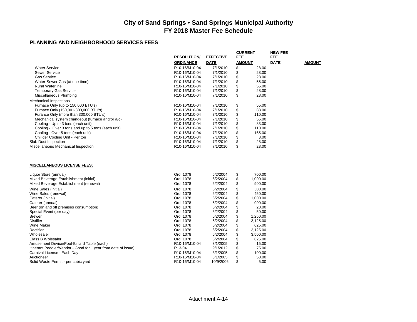|                                         |                                                                                                                         |                                                                                                         |                                                                                                            | <b>NEW FEE</b>                                                                                                                                                |                    |
|-----------------------------------------|-------------------------------------------------------------------------------------------------------------------------|---------------------------------------------------------------------------------------------------------|------------------------------------------------------------------------------------------------------------|---------------------------------------------------------------------------------------------------------------------------------------------------------------|--------------------|
|                                         |                                                                                                                         |                                                                                                         |                                                                                                            |                                                                                                                                                               | <b>AMOUNT</b>      |
|                                         |                                                                                                                         |                                                                                                         |                                                                                                            |                                                                                                                                                               |                    |
|                                         |                                                                                                                         |                                                                                                         |                                                                                                            |                                                                                                                                                               |                    |
| R <sub>10</sub> -16/M <sub>10</sub> -04 | 7/1/2010                                                                                                                |                                                                                                         | 28.00                                                                                                      |                                                                                                                                                               |                    |
|                                         | 7/1/2010                                                                                                                |                                                                                                         |                                                                                                            |                                                                                                                                                               |                    |
|                                         |                                                                                                                         |                                                                                                         |                                                                                                            |                                                                                                                                                               |                    |
| R10-16/M10-04                           | 7/1/2010                                                                                                                |                                                                                                         | 28.00                                                                                                      |                                                                                                                                                               |                    |
| R10-16/M10-04                           | 7/1/2010                                                                                                                | \$                                                                                                      | 28.00                                                                                                      |                                                                                                                                                               |                    |
|                                         |                                                                                                                         |                                                                                                         |                                                                                                            |                                                                                                                                                               |                    |
| R10-16/M10-04                           | 7/1/2010                                                                                                                |                                                                                                         | 55.00                                                                                                      |                                                                                                                                                               |                    |
| R10-16/M10-04                           | 7/1/2010                                                                                                                |                                                                                                         | 83.00                                                                                                      |                                                                                                                                                               |                    |
| R <sub>10</sub> -16/M <sub>10</sub> -04 | 7/1/2010                                                                                                                | \$                                                                                                      | 110.00                                                                                                     |                                                                                                                                                               |                    |
| R <sub>10</sub> -16/M <sub>10</sub> -04 | 7/1/2010                                                                                                                | \$                                                                                                      | 55.00                                                                                                      |                                                                                                                                                               |                    |
| R10-16/M10-04                           | 7/1/2010                                                                                                                | \$                                                                                                      | 83.00                                                                                                      |                                                                                                                                                               |                    |
| R10-16/M10-04                           | 7/1/2010                                                                                                                |                                                                                                         | 110.00                                                                                                     |                                                                                                                                                               |                    |
| R <sub>10</sub> -16/M <sub>10</sub> -04 | 7/1/2010                                                                                                                | \$                                                                                                      | 165.00                                                                                                     |                                                                                                                                                               |                    |
| R10-16/M10-04                           | 7/1/2010                                                                                                                | \$                                                                                                      | 3.00                                                                                                       |                                                                                                                                                               |                    |
| R10-16/M10-04                           | 7/1/2010                                                                                                                | \$                                                                                                      | 28.00                                                                                                      |                                                                                                                                                               |                    |
| R10-16/M10-04                           | 7/1/2010                                                                                                                | \$                                                                                                      | 28.00                                                                                                      |                                                                                                                                                               |                    |
|                                         |                                                                                                                         |                                                                                                         |                                                                                                            |                                                                                                                                                               |                    |
| Ord. 1078                               | 6/2/2004                                                                                                                |                                                                                                         | 700.00                                                                                                     |                                                                                                                                                               |                    |
| Ord. 1078                               | 6/2/2004                                                                                                                | \$                                                                                                      |                                                                                                            |                                                                                                                                                               |                    |
| Ord. 1078                               | 6/2/2004                                                                                                                | \$                                                                                                      | 900.00                                                                                                     |                                                                                                                                                               |                    |
|                                         |                                                                                                                         |                                                                                                         |                                                                                                            |                                                                                                                                                               |                    |
| Ord. 1078                               |                                                                                                                         |                                                                                                         | 450.00                                                                                                     |                                                                                                                                                               |                    |
| Ord. 1078                               |                                                                                                                         |                                                                                                         |                                                                                                            |                                                                                                                                                               |                    |
| Ord. 1078                               | 6/2/2004                                                                                                                |                                                                                                         | 900.00                                                                                                     |                                                                                                                                                               |                    |
| Ord. 1078                               | 6/2/2004                                                                                                                | \$                                                                                                      | 20.00                                                                                                      |                                                                                                                                                               |                    |
| Ord. 1078                               | 6/2/2004                                                                                                                |                                                                                                         | 50.00                                                                                                      |                                                                                                                                                               |                    |
| Ord. 1078                               | 6/2/2004                                                                                                                | \$                                                                                                      |                                                                                                            |                                                                                                                                                               |                    |
| Ord. 1078                               | 6/2/2004                                                                                                                | \$                                                                                                      |                                                                                                            |                                                                                                                                                               |                    |
| Ord. 1078                               | 6/2/2004                                                                                                                | \$                                                                                                      | 625.00                                                                                                     |                                                                                                                                                               |                    |
| Ord. 1078                               | 6/2/2004                                                                                                                | \$                                                                                                      |                                                                                                            |                                                                                                                                                               |                    |
| Ord. 1078                               | 6/2/2004                                                                                                                | \$                                                                                                      |                                                                                                            |                                                                                                                                                               |                    |
| Ord. 1078                               | 6/2/2004                                                                                                                | \$                                                                                                      | 625.00                                                                                                     |                                                                                                                                                               |                    |
| R10-16/M10-04                           | 3/1/2005                                                                                                                | \$                                                                                                      | 15.00                                                                                                      |                                                                                                                                                               |                    |
| R13-04                                  | 9/1/2012                                                                                                                | \$                                                                                                      | 75.00                                                                                                      |                                                                                                                                                               |                    |
| R10-16/M10-04                           | 3/1/2005                                                                                                                | \$                                                                                                      | 100.00                                                                                                     |                                                                                                                                                               |                    |
| R10-16/M10-04                           | 3/1/2005                                                                                                                | \$                                                                                                      | 50.00                                                                                                      |                                                                                                                                                               |                    |
| R10-16/M10-04                           | 10/9/2006                                                                                                               |                                                                                                         |                                                                                                            |                                                                                                                                                               |                    |
|                                         | <b>RESOLUTION/</b><br><b>ORDINANCE</b><br>R10-16/M10-04<br>R10-16/M10-04<br>R10-16/M10-04<br>R10-16/M10-04<br>Ord. 1078 | <b>EFFECTIVE</b><br><b>DATE</b><br>7/1/2010<br>7/1/2010<br>7/1/2010<br>6/2/2004<br>6/2/2004<br>6/2/2004 | <b>FEE</b><br>\$<br>\$<br>\$<br>\$<br>\$<br>\$<br>\$<br>\$<br>\$<br>\$<br>\$<br>\$<br>\$<br>\$<br>\$<br>\$ | <b>CURRENT</b><br><b>AMOUNT</b><br>28.00<br>28.00<br>55.00<br>55.00<br>1,000.00<br>500.00<br>1,000.00<br>1,250.00<br>3,125.00<br>3,125.00<br>3,500.00<br>5.00 | FEE<br><b>DATE</b> |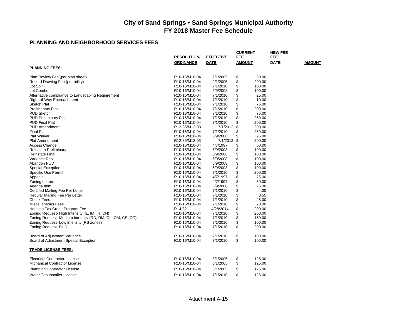|                                                           | <b>RESOLUTION/</b>                      | <b>EFFECTIVE</b> | <b>CURRENT</b><br><b>FEE</b> | <b>NEW FEE</b><br><b>FEE</b> |               |
|-----------------------------------------------------------|-----------------------------------------|------------------|------------------------------|------------------------------|---------------|
|                                                           | <b>ORDINANCE</b>                        | <b>DATE</b>      | <b>AMOUNT</b>                | <b>DATE</b>                  | <b>AMOUNT</b> |
| <b>PLANNING FEES:</b>                                     |                                         |                  |                              |                              |               |
| Plan Review Fee (per plan sheet)                          | R10-16/M10-04                           | 2/1/2005         | \$<br>50.00                  |                              |               |
| Record Drawing Fee (per utility)                          | R10-16/M10-04                           | 2/1/2005         | \$<br>200.00                 |                              |               |
| Lot Split                                                 | R <sub>10</sub> -16/M <sub>10</sub> -04 | 7/1/2010         | \$<br>100.00                 |                              |               |
| Lot Combo                                                 | R10-16/M10-04                           | 6/9/2008         | \$<br>100.00                 |                              |               |
| Alternative compliance to Landscaping Requirement         | R10-16/M10-04                           | 7/1/2010         | \$<br>25.00                  |                              |               |
| Right-of-Way Encroachment                                 | R10-16/M10-04                           | 7/1/2010         | \$<br>10.00                  |                              |               |
| <b>Sketch Plat</b>                                        | R10-16/M10-04                           | 7/1/2010         | \$<br>75.00                  |                              |               |
| <b>Prelimanary Plat</b>                                   | R10-16/M10-04                           | 7/1/2010         | \$<br>200.00                 |                              |               |
| <b>PUD Sketch</b>                                         | R10-16/M10-04                           | 7/1/2010         | \$<br>75.00                  |                              |               |
| PUD Preliminary Plat                                      | R10-16/M10-04                           | 7/1/2010         | \$<br>250.00                 |                              |               |
| <b>PUD Final Plat</b>                                     | R10-16/M10-04                           | 7/1/2010         | \$<br>200.00                 |                              |               |
| <b>PUD Amendment</b>                                      | R12-35/M12-03                           | 7/1/2012         | \$<br>200.00                 |                              |               |
| Final Plat                                                | R <sub>10</sub> -16/M <sub>10</sub> -04 | 7/1/2010         | \$<br>250.00                 |                              |               |
| <b>Plat Waiver</b>                                        | R10-16/M10-04                           | 6/9/2008         | \$<br>25.00                  |                              |               |
| Plat Amendment                                            | R12-35/M12-03                           | 7/1/2012         | \$<br>200.00                 |                              |               |
| <b>Access Change</b>                                      | R10-16/M10-04                           | 4/7/1997         | \$<br>50.00                  |                              |               |
| <b>Reinstate Preliminary</b>                              | R10-16/M10-04                           | 6/9/2008         | \$<br>100.00                 |                              |               |
| <b>Reinstate Final</b>                                    | R10-16/M10-04                           | 6/9/2008         | \$<br>100.00                 |                              |               |
| Variance Res                                              | R10-16/M10-04                           | 6/9/2008         | \$<br>100.00                 |                              |               |
| Abandon PUD                                               | R10-16/M10-04                           | 6/9/2008         | \$<br>100.00                 |                              |               |
| <b>Special Exception</b>                                  | R10-16/M10-04                           | 6/9/2008         | \$<br>100.00                 |                              |               |
| Specific Use Permit                                       | R10-16/M10-04                           | 7/1/2010         | \$<br>200.00                 |                              |               |
| Appeals                                                   | R10-16/M10-04                           | 4/7/1997         | \$<br>75.00                  |                              |               |
| <b>Zoning Letters</b>                                     | R10-16/M10-04                           | 4/7/1997         | \$<br>50.00                  |                              |               |
| Agenda Item                                               | R10-16/M10-04                           | 6/9/2008         | \$<br>25.00                  |                              |               |
| Certified Mailing Fee Per Letter                          | R10-16/M10-04                           | 7/1/2010         | \$<br>4.00                   |                              |               |
| Regular Mailing Fee Per Letter                            |                                         | 7/1/2010         | 0.55                         |                              |               |
| <b>Check Fees</b>                                         | R10-16/M10-04                           |                  | \$                           |                              |               |
|                                                           | R10-16/M10-04                           | 7/1/2010         | \$<br>25.00                  |                              |               |
| Miscellaneous Fees                                        | R10-16/M10-04                           | 7/1/2010         | \$<br>20.00                  |                              |               |
| Housing Tax Credit Program Fee                            | R <sub>14</sub> -32                     | 4/28/2014        | \$<br>200.00                 |                              |               |
| Zoning Request-High Intensity (IL, IM, IH, CH)            | R10-16/M10-04                           | 7/1/2010         | \$<br>200.00                 |                              |               |
| Zoning Request- Medium Intensity (RD, RM, OL, OM, CS, CG) | R10-16/M10-04                           | 7/1/2010         | \$<br>150.00                 |                              |               |
| Zoning Request- Low Intensity (RS zones)                  | R10-16/M10-04                           | 7/1/2010         | \$<br>100.00                 |                              |               |
| Zoning Request- PUD                                       | R10-16/M10-04                           | 7/1/2010         | \$<br>200.00                 |                              |               |
| Board of Adjustment Variance                              | R10-16/M10-04                           | 7/1/2010         | \$<br>100.00                 |                              |               |
| Board of Adjustment Special Exception                     | R10-16/M10-04                           | 7/1/2010         | \$<br>100.00                 |                              |               |
| <b>TRADE LICENSE FEES:</b>                                |                                         |                  |                              |                              |               |
|                                                           |                                         |                  |                              |                              |               |
| <b>Electrical Contractor License</b>                      | R10-16/M10-04                           | 3/1/2005         | \$<br>125.00                 |                              |               |
| <b>Michanical Contractor License</b>                      | R <sub>10</sub> -16/M <sub>10</sub> -04 | 3/1/2005         | \$<br>125.00                 |                              |               |
| <b>Plumbing Contractor License</b>                        | R10-16/M10-04                           | 3/1/2005         | \$<br>125.00                 |                              |               |
| Water Tap Installer License                               | R10-16/M10-04                           | 7/1/2010         | \$<br>125.00                 |                              |               |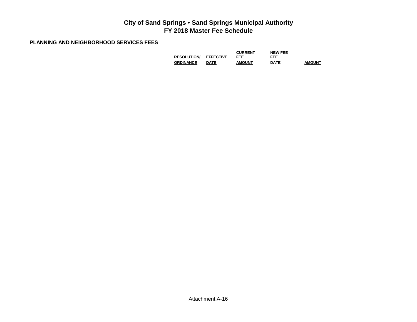|                    |                  | <b>CURRENT</b> | <b>NEW FEE</b> |               |
|--------------------|------------------|----------------|----------------|---------------|
| <b>RESOLUTION/</b> | <b>EFFECTIVE</b> | FEE            | FEE            |               |
| <b>ORDINANCE</b>   | <b>DATE</b>      | <b>AMOUNT</b>  | <b>DATE</b>    | <b>AMOUNT</b> |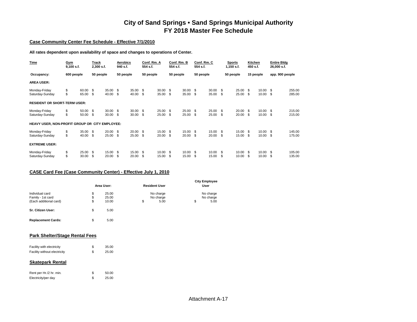#### **Case Community Center Fee Schedule - Effective 7/1/2010**

**All rates dependent upon availability of space and changes to operations of Center.**

| Time                                           | Gym<br>$9,100$ s.f. |                | Track<br>2,300 s.f. |                | Aerobics<br>940 s.f. |                | Conf. Rm. A<br>554 s.f. |                | Conf. Rm. B<br>554 s.f. |                | Conf. Rm. C<br>554 s.f. |                |           | Sports<br>1,150 s.f. | Kitchen<br>450 s.f. |                | <b>Entire Bldg</b><br>26,000 s.f. |                  |
|------------------------------------------------|---------------------|----------------|---------------------|----------------|----------------------|----------------|-------------------------|----------------|-------------------------|----------------|-------------------------|----------------|-----------|----------------------|---------------------|----------------|-----------------------------------|------------------|
| Occupancy:                                     | 600 people          |                | 50 people           |                | 50 people            |                | 50 people               |                | 50 people               |                | 50 people               |                |           | 50 people            | 15 people           |                | app. 900 people                   |                  |
| <b>AREA USER:</b>                              |                     |                |                     |                |                      |                |                         |                |                         |                |                         |                |           |                      |                     |                |                                   |                  |
| Monday-Friday<br>Saturday-Sunday               | \$<br>\$            | 60.00<br>65.00 | \$<br>\$            | 35.00<br>40.00 | - \$<br>\$           | 35.00<br>40.00 | \$.<br>\$               | 30.00<br>35.00 | \$<br>\$                | 30.00<br>35.00 | -\$<br>\$.              | 30.00<br>35.00 | \$<br>\$  | 25.00<br>25.00       | -S<br>\$            | 10.00<br>10.00 | - \$<br>-\$                       | 255.00<br>285.00 |
| <b>RESIDENT OR SHORT-TERM USER:</b>            |                     |                |                     |                |                      |                |                         |                |                         |                |                         |                |           |                      |                     |                |                                   |                  |
| Monday-Friday<br>Saturday-Sunday               | \$<br>\$            | 50.00<br>50.00 | \$<br>\$            | 30.00<br>30.00 | - \$<br>\$           | 30.00<br>30.00 | \$.<br>\$               | 25.00<br>25.00 | \$<br>\$                | 25.00<br>25.00 | \$<br>\$.               | 25.00<br>25.00 | \$.<br>\$ | 20.00<br>20.00       | - \$<br>\$.         | 10.00<br>10.00 | - \$<br>-\$                       | 215.00<br>215.00 |
| HEAVY USER, NON-PROFIT GROUP OR CITY EMPLOYEE: |                     |                |                     |                |                      |                |                         |                |                         |                |                         |                |           |                      |                     |                |                                   |                  |
| Monday-Friday<br>Saturday-Sunday               | \$<br>\$            | 35.00<br>40.00 | -\$<br>\$           | 20.00<br>25.00 | - \$<br>\$           | 20.00<br>25.00 | \$.<br>\$               | 15.00<br>20.00 | \$.<br>\$               | 15.00<br>20.00 | - \$<br>\$              | 15.00<br>20.00 | \$<br>\$  | 15.00<br>15.00       | -S<br>\$            | 10.00<br>10.00 | - \$<br>-\$                       | 145.00<br>175.00 |
| <b>EXTREME USER:</b>                           |                     |                |                     |                |                      |                |                         |                |                         |                |                         |                |           |                      |                     |                |                                   |                  |
| Monday-Friday<br>Saturday-Sunday               | \$<br>\$            | 25.00<br>30.00 | \$<br>\$            | 15.00<br>20.00 | \$<br>S              | 15.00<br>20.00 | \$.                     | 10.00<br>15.00 | \$                      | 10.00<br>15.00 | \$.<br>\$               | 10.00<br>15.00 | \$.<br>\$ | 10.00<br>10.00       | - \$                | 10.00<br>10.00 | \$<br>\$                          | 105.00<br>135.00 |

#### **CASE Card Fee (Case Community Center) - Effective July 1, 2010**

|                                                                |                | Area User:              | <b>Resident User</b>                 | <b>City Employee</b><br>User         |
|----------------------------------------------------------------|----------------|-------------------------|--------------------------------------|--------------------------------------|
| Individual card<br>Family - 1st card<br>(Each additional card) | \$<br>\$<br>\$ | 25.00<br>25.00<br>10.00 | \$<br>No charge<br>No charge<br>5.00 | \$<br>No charge<br>No charge<br>5.00 |
| Sr. Citizen User:                                              | \$             | 5.00                    |                                      |                                      |

|  |  | <b>Park Shelter/Stage Rental Fees</b> |  |  |
|--|--|---------------------------------------|--|--|
|--|--|---------------------------------------|--|--|

| Facility with electricity    | 35.00 |
|------------------------------|-------|
| Facility without electricity | 25.00 |

**Replacement Cards:** \$ 5.00

#### **Skatepark Rental**

| Rent per Hr./2 hr. min. | 50.00 |
|-------------------------|-------|
| Electricity/per day     | 25.00 |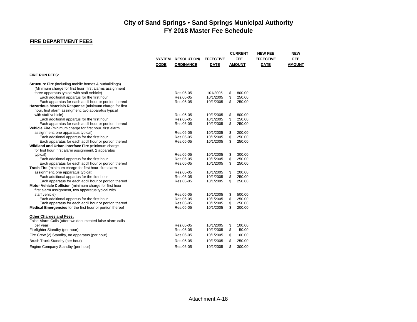#### **FIRE DEPARTMENT FEES**

|                                                                                   | <b>SYSTEM</b><br><b>CODE</b> | <b>RESOLUTION</b><br><b>ORDINANCE</b> | <b>EFFECTIVE</b><br><b>DATE</b> | <b>CURRENT</b><br><b>FEE</b><br><b>AMOUNT</b> | <b>NEW FEE</b><br><b>EFFECTIVE</b><br><b>DATE</b> | <b>NEW</b><br><b>FEE</b><br><b>AMOUNT</b> |
|-----------------------------------------------------------------------------------|------------------------------|---------------------------------------|---------------------------------|-----------------------------------------------|---------------------------------------------------|-------------------------------------------|
| <b>FIRE RUN FEES:</b>                                                             |                              |                                       |                                 |                                               |                                                   |                                           |
| <b>Structure Fire</b> (including mobile homes & outbuildings)                     |                              |                                       |                                 |                                               |                                                   |                                           |
| (Minimum charge for first hour, first alarms assignment                           |                              |                                       |                                 |                                               |                                                   |                                           |
| three apparatus typical with staff vehicle)                                       |                              | Res.06-05                             | 101/2005                        | \$<br>800.00                                  |                                                   |                                           |
| Each additional appartus for the first hour                                       |                              | Res.06-05                             | 10/1/2005                       | \$<br>250.00                                  |                                                   |                                           |
| Each apparatus for each add'l hour or portion thereof                             |                              | Res.06-05                             | 10/1/2005                       | \$<br>250.00                                  |                                                   |                                           |
| Hazardous Materials Response (minimum charge for first                            |                              |                                       |                                 |                                               |                                                   |                                           |
| hour, first alarm assingment, two apparatus typical                               |                              |                                       |                                 |                                               |                                                   |                                           |
| with staff vehicle)                                                               |                              | Res.06-05                             | 10/1/2005                       | \$<br>800.00                                  |                                                   |                                           |
| Each additional appartus for the first hour                                       |                              | Res.06-05                             | 10/1/2005                       | \$<br>250.00                                  |                                                   |                                           |
| Each apparatus for each add'l hour or portion thereof                             |                              | Res.06-05                             | 10/1/2005                       | \$<br>250.00                                  |                                                   |                                           |
| Vehicle Fire (minimum charge for first hour, first alarm                          |                              | Res.06-05                             | 10/1/2005                       | 200.00                                        |                                                   |                                           |
| assignment, one apparatus typical)<br>Each additional appartus for the first hour |                              | Res.06-05                             | 10/1/2005                       | \$<br>\$<br>250.00                            |                                                   |                                           |
| Each apparatus for each add'I hour or portion thereof                             |                              | Res.06-05                             | 10/1/2005                       | \$<br>250.00                                  |                                                   |                                           |
| Wildland and Urban Interface Fire (minimum charge                                 |                              |                                       |                                 |                                               |                                                   |                                           |
| for first hour, first alarm assignment, 2 apparatus                               |                              |                                       |                                 |                                               |                                                   |                                           |
| typical)                                                                          |                              | Res.06-05                             | 10/1/2005                       | \$<br>300.00                                  |                                                   |                                           |
| Each additional appartus for the first hour                                       |                              | Res.06-05                             | 10/1/2005                       | \$<br>250.00                                  |                                                   |                                           |
| Each apparatus for each add'l hour or portion thereof                             |                              | Res.06-05                             | 10/1/2005                       | \$<br>250.00                                  |                                                   |                                           |
| Trash Fire (minimum charge for first hour, first alarm                            |                              |                                       |                                 |                                               |                                                   |                                           |
| assignment, one apparatus typical)                                                |                              | Res.06-05                             | 10/1/2005                       | \$<br>200.00                                  |                                                   |                                           |
| Each additional appartus for the first hour                                       |                              | Res.06-05                             | 10/1/2005                       | \$<br>250.00                                  |                                                   |                                           |
| Each apparatus for each add'I hour or portion thereof                             |                              | Res.06-05                             | 10/1/2005                       | \$<br>250.00                                  |                                                   |                                           |
| Motor Vehicle Collision (minimum charge for first hour                            |                              |                                       |                                 |                                               |                                                   |                                           |
| first alarm assignment, two apparatus typical with                                |                              |                                       |                                 |                                               |                                                   |                                           |
| staff vehicle)                                                                    |                              | Res.06-05                             | 10/1/2005                       | \$<br>500.00                                  |                                                   |                                           |
| Each additional appartus for the first hour                                       |                              | Res.06-05                             | 10/1/2005                       | \$<br>250.00                                  |                                                   |                                           |
| Each apparatus for each add'l hour or portion thereof                             |                              | Res.06-05                             | 10/1/2005                       | \$<br>250.00                                  |                                                   |                                           |
| <b>Medical Emergencies</b> for the first hour or portion thereof                  |                              | Res.06-05                             | 10/1/2005                       | \$<br>200.00                                  |                                                   |                                           |
| <b>Other Charges and Fees:</b>                                                    |                              |                                       |                                 |                                               |                                                   |                                           |
| False Alarm Calls (after two documented false alarm calls                         |                              |                                       |                                 |                                               |                                                   |                                           |
| per year)                                                                         |                              | Res.06-05                             | 10/1/2005                       | \$<br>100.00                                  |                                                   |                                           |
| Firefighter Standby (per hour)                                                    |                              | Res.06-05                             | 10/1/2005                       | \$<br>50.00                                   |                                                   |                                           |
| Fire Crew (2) Standby, no apparatus (per hour)                                    |                              | Res.06-05                             | 10/1/2005                       | 100.00<br>\$                                  |                                                   |                                           |
| Brush Truck Standby (per hour)                                                    |                              | Res.06-05                             | 10/1/2005                       | \$<br>250.00                                  |                                                   |                                           |
| Engine Company Standby (per hour)                                                 |                              | Res.06-05                             | 10/1/2005                       | \$<br>300.00                                  |                                                   |                                           |
|                                                                                   |                              |                                       |                                 |                                               |                                                   |                                           |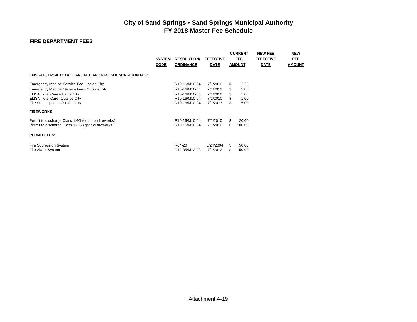#### **FIRE DEPARTMENT FEES**

|                                                                | <b>SYSTEM</b><br><b>CODE</b> | <b>RESOLUTION</b><br><b>ORDINANCE</b> | <b>EFFECTIVE</b><br><b>DATE</b> |           | <b>CURRENT</b><br><b>FEE</b><br><b>AMOUNT</b> | <b>NEW FEE</b><br><b>EFFECTIVE</b><br><b>DATE</b> | <b>NEW</b><br><b>FEE</b><br><b>AMOUNT</b> |
|----------------------------------------------------------------|------------------------------|---------------------------------------|---------------------------------|-----------|-----------------------------------------------|---------------------------------------------------|-------------------------------------------|
| <b>EMS FEE, EMSA TOTAL CARE FEE AND FIRE SUBSCRIPTION FEE:</b> |                              |                                       |                                 |           |                                               |                                                   |                                           |
| Emergency Medical Service Fee - Inside City                    |                              | R10-16/M10-04                         | 7/1/2010                        | S         | 2.25                                          |                                                   |                                           |
| Emergency Medical Service Fee - Outside City                   |                              | R10-16/M10-04                         | 7/1/2013                        | \$        | 5.00                                          |                                                   |                                           |
| <b>EMSA Total Care - Inside City</b>                           |                              | R10-16/M10-04                         | 7/1/2010                        |           | 1.00                                          |                                                   |                                           |
| <b>EMSA Total Care- Outside City</b>                           |                              | R10-16/M10-04                         | 7/1/2010                        | \$        | 1.00                                          |                                                   |                                           |
| Fire Subscription - Outside City                               |                              | R10-16/M10-04                         | 7/1/2013                        | \$        | 5.00                                          |                                                   |                                           |
| <b>FIREWORKS:</b>                                              |                              |                                       |                                 |           |                                               |                                                   |                                           |
| Permit to discharge Class 1.4G (common fireworks)              |                              | R10-16/M10-04                         | 7/1/2010                        | \$        | 20.00                                         |                                                   |                                           |
| Permit to discharge Class 1.3.G (special fireworks)            |                              | R10-16/M10-04                         | 7/1/2010                        | \$        | 100.00                                        |                                                   |                                           |
| <b>PERMIT FEES:</b>                                            |                              |                                       |                                 |           |                                               |                                                   |                                           |
| Fire Supression System<br>Fire Alarm System                    |                              | R <sub>04</sub> -20<br>R12-35/M12-03  | 5/24/2004<br>7/1/2012           | \$.<br>\$ | 50.00<br>50.00                                |                                                   |                                           |
|                                                                |                              |                                       |                                 |           |                                               |                                                   |                                           |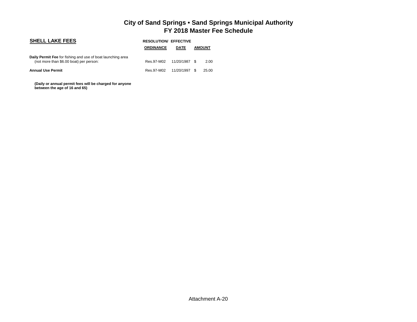| <b>SHELL LAKE FEES</b>                                                                                 |                  | <b>RESOLUTION/ EFFECTIVE</b> |  |               |  |  |
|--------------------------------------------------------------------------------------------------------|------------------|------------------------------|--|---------------|--|--|
|                                                                                                        | <b>ORDINANCE</b> | <b>DATE</b>                  |  | <b>AMOUNT</b> |  |  |
| Daily Permit Fee for fishing and use of boat launching area<br>(not more than \$6.00 boat) per person: | Res.97-M02       | 11/20/1987 \$                |  | 2.00          |  |  |
| <b>Annual Use Permit</b>                                                                               | Res.97-M02       | 11/20/1997 \$                |  | 25.00         |  |  |

 **(Daily or annual permit fees will be charged for anyone between the age of 16 and 65)**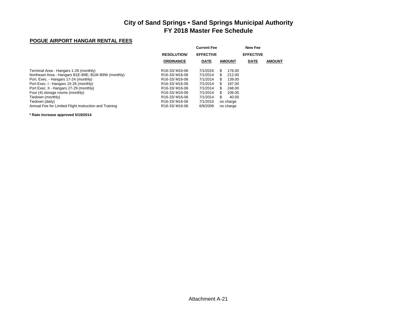#### **POGUE AIRPORT HANGAR RENTAL FEES**

|                                                        |                                        |                  | New Fee       |                  |               |
|--------------------------------------------------------|----------------------------------------|------------------|---------------|------------------|---------------|
|                                                        | <b>RESOLUTION/</b>                     | <b>EFFECTIVE</b> |               | <b>EFFECTIVE</b> |               |
|                                                        | <b>ORDINANCE</b>                       | <b>DATE</b>      | <b>AMOUNT</b> | <b>DATE</b>      | <b>AMOUNT</b> |
| Terminal Area - Hangars 1-26 (monthly)                 | R <sub>16</sub> -33/M <sub>16-06</sub> | 7/1/2016         | S<br>176.00   |                  |               |
| Northeast Area - Hangars B1E-B9E; B1W-B9W (monthly)    | R <sub>16</sub> -33/M <sub>16-06</sub> | 7/1/2014         | 212.00<br>S   |                  |               |
| Port. Exec. - Hangars 17-24 (monthly)                  | R <sub>16</sub> -33/M <sub>16-06</sub> | 7/1/2014         | 139.00<br>S   |                  |               |
| Port Exec. I - Hangars 15-26 (monthly)                 | R <sub>16</sub> -33/M <sub>16-06</sub> | 7/1/2014         | S<br>187.00   |                  |               |
| Port Exec. II - Hangars 27-29 (monthly)                | R <sub>16</sub> -33/M <sub>16-06</sub> | 7/1/2014         | 248.00<br>S   |                  |               |
| Four (4) storage rooms (monthly)                       | R <sub>16</sub> -33/M <sub>16-06</sub> | 7/1/2014         | 106.00<br>S   |                  |               |
| Tiedown (monthly)                                      | R <sub>16</sub> -33/M <sub>16-06</sub> | 7/1/2014         | S<br>40.00    |                  |               |
| Tiedown (daily)                                        | R <sub>16</sub> -33/M <sub>16-06</sub> | 7/1/2010         | no charge     |                  |               |
| Annual Fee for Limited Flight Instruction and Training | R <sub>16</sub> -33/M <sub>16-06</sub> | 6/9/2008         | no charge     |                  |               |

#### **\* Rate increase approved 5/19/2014**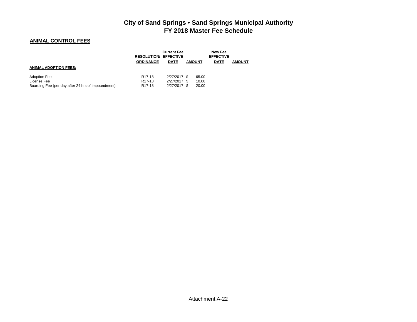## **ANIMAL CONTROL FEES**

|                                                                                          | <b>RESOLUTION/ EFFECTIVE</b><br><b>ORDINANCE</b>                  | <b>Current Fee</b><br><b>DATE</b>            | <b>AMOUNT</b>           | New Fee<br><b>EFFECTIVE</b><br><b>DATE</b> | <b>AMOUNT</b> |
|------------------------------------------------------------------------------------------|-------------------------------------------------------------------|----------------------------------------------|-------------------------|--------------------------------------------|---------------|
| <b>ANIMAL ADOPTION FEES:</b>                                                             |                                                                   |                                              |                         |                                            |               |
| <b>Adoption Fee</b><br>License Fee<br>Boarding Fee (per day after 24 hrs of impoundment) | R <sub>17</sub> -18<br>R <sub>17</sub> -18<br>R <sub>17</sub> -18 | 2/27/2017 \$<br>2/27/2017 \$<br>2/27/2017 \$ | 65.00<br>10.00<br>20.00 |                                            |               |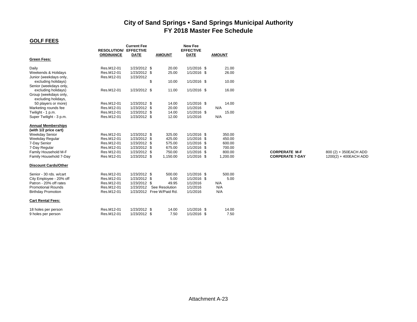## **GOLF FEES**

|                             |                                                  | <b>Current Fee</b> |                           | New Fee                         |               |                        |                       |
|-----------------------------|--------------------------------------------------|--------------------|---------------------------|---------------------------------|---------------|------------------------|-----------------------|
|                             | <b>RESOLUTION/ EFFECTIVE</b><br><b>ORDINANCE</b> | <b>DATE</b>        | <b>AMOUNT</b>             | <b>EFFECTIVE</b><br><b>DATE</b> | <b>AMOUNT</b> |                        |                       |
| <b>Green Fees:</b>          |                                                  |                    |                           |                                 |               |                        |                       |
| Daily                       | Res.M12-01                                       | 1/23/2012 \$       | 20.00                     | 1/1/2016 \$                     | 21.00         |                        |                       |
| Weekends & Holidays         | Res.M12-01                                       | 1/23/2012 \$       | 25.00                     | 1/1/2016 \$                     | 26.00         |                        |                       |
| Junior (weekdays only,      | Res.M12-01                                       | 1/23/2012          |                           |                                 |               |                        |                       |
| excluding holidays)         |                                                  | \$                 | 10.00                     | 1/1/2016 \$                     | 10.00         |                        |                       |
| Senior (weekdays only,      |                                                  |                    |                           |                                 |               |                        |                       |
| excluding holidays)         | Res.M12-01                                       | 1/23/2012 \$       | 11.00                     | $1/1/2016$ \$                   | 16.00         |                        |                       |
| Group (weekdays only,       |                                                  |                    |                           |                                 |               |                        |                       |
| excluding holidays,         |                                                  |                    |                           |                                 |               |                        |                       |
| 50 players or more)         | Res.M12-01                                       | 1/23/2012 \$       | 14.00                     | $1/1/2016$ \$                   | 14.00         |                        |                       |
| Marketing rounds fee        | Res.M12-01                                       | 1/23/2012 \$       | 20.00                     | 1/1/2016                        | N/A           |                        |                       |
| Twilight - 1 p.m.           | Res.M12-01                                       | 1/23/2012 \$       | 14.00                     | $1/1/2016$ \$                   | 15.00         |                        |                       |
| Super Twilight - 3 p.m.     | Res.M12-01                                       | 1/23/2012 \$       | 12.00                     | 1/1/2016                        | N/A           |                        |                       |
| <b>Annual Memberships</b>   |                                                  |                    |                           |                                 |               |                        |                       |
| (with 1/2 price cart)       |                                                  |                    |                           |                                 |               |                        |                       |
| <b>Weekday Senior</b>       | Res.M12-01                                       | 1/23/2012 \$       | 325.00                    | 1/1/2016 \$                     | 350.00        |                        |                       |
| Weekday Regular             | Res.M12-01                                       | 1/23/2012 \$       | 425.00                    | 1/1/2016 \$                     | 450.00        |                        |                       |
| 7-Day Senior                | Res.M12-01                                       | 1/23/2012 \$       | 575.00                    | 1/1/2016 \$                     | 600.00        |                        |                       |
| 7-Day Regular               | Res.M12-01                                       | 1/23/2012 \$       | 675.00                    | 1/1/2016 \$                     | 700.00        |                        |                       |
| Family Household M-F        | Res M12-01                                       | 1/23/2012 \$       | 750.00                    | 1/1/2016 \$                     | 800.00        | <b>CORPERATE M-F</b>   | 800 (2) + 350EACH ADD |
| Family Household 7-Day      | Res M12-01                                       | 1/23/2012 \$       | 1,150.00                  | $1/1/2016$ \$                   | 1,200.00      | <b>CORPERATE 7-DAY</b> | 1200(2) + 400EACH ADD |
| <b>Discount Cards/Other</b> |                                                  |                    |                           |                                 |               |                        |                       |
| Senior - 30 rds. w/cart     | Res.M12-01                                       | 1/23/2012 \$       | 500.00                    | $1/1/2016$ \$                   | 500.00        |                        |                       |
| City Employee - 20% off     | Res.M12-01                                       | 1/23/2012 \$       | 5.00                      | $1/1/2016$ \$                   | 5.00          |                        |                       |
| Patron - 20% off rates      | Res.M12-01                                       | 1/23/2012 \$       | 49.95                     | 1/1/2016                        | N/A           |                        |                       |
| <b>Promotional Rounds</b>   | Res.M12-01                                       | 1/23/2012          | See Resolution            | 1/1/2016                        | N/A           |                        |                       |
| <b>Birthday Promotion</b>   | Res.M12-01                                       |                    | 1/23/2012 Free W/Paid Rd. | 1/1/2016                        | N/A           |                        |                       |
| <b>Cart Rental Fees:</b>    |                                                  |                    |                           |                                 |               |                        |                       |
| 18 holes per person         | Res.M12-01                                       | 1/23/2012 \$       | 14.00                     | 1/1/2016 \$                     | 14.00         |                        |                       |
| 9 holes per person          | Res.M12-01                                       | 1/23/2012 \$       | 7.50                      | 1/1/2016 \$                     | 7.50          |                        |                       |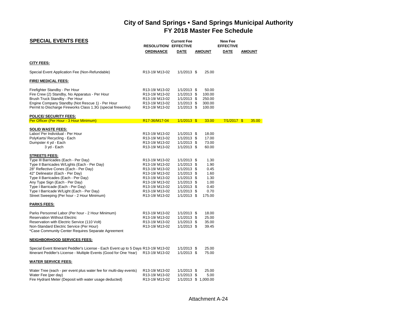| <b>SPECIAL EVENTS FEES</b>                                                                                                                                                                                                                                                                                                                                                                                                                                                                                                                                                                                                                                             | <b>RESOLUTION/ EFFECTIVE</b><br><b>ORDINANCE</b>                                                                                                                                                                                                                                                        | <b>Current Fee</b><br><b>DATE</b>                                                                                                                                                                       | AMOUNT                                                                                                     | <b>New Fee</b><br><b>EFFECTIVE</b><br>DATE | <b>AMOUNT</b> |  |
|------------------------------------------------------------------------------------------------------------------------------------------------------------------------------------------------------------------------------------------------------------------------------------------------------------------------------------------------------------------------------------------------------------------------------------------------------------------------------------------------------------------------------------------------------------------------------------------------------------------------------------------------------------------------|---------------------------------------------------------------------------------------------------------------------------------------------------------------------------------------------------------------------------------------------------------------------------------------------------------|---------------------------------------------------------------------------------------------------------------------------------------------------------------------------------------------------------|------------------------------------------------------------------------------------------------------------|--------------------------------------------|---------------|--|
|                                                                                                                                                                                                                                                                                                                                                                                                                                                                                                                                                                                                                                                                        |                                                                                                                                                                                                                                                                                                         |                                                                                                                                                                                                         |                                                                                                            |                                            |               |  |
| <b>CITY FEES:</b>                                                                                                                                                                                                                                                                                                                                                                                                                                                                                                                                                                                                                                                      |                                                                                                                                                                                                                                                                                                         |                                                                                                                                                                                                         |                                                                                                            |                                            |               |  |
| Special Event Application Fee (Non-Refundable)                                                                                                                                                                                                                                                                                                                                                                                                                                                                                                                                                                                                                         | R13-19/M13-02                                                                                                                                                                                                                                                                                           | $1/1/2013$ \$                                                                                                                                                                                           | 25.00                                                                                                      |                                            |               |  |
| <b>FIRE/ MEDICAL FEES:</b>                                                                                                                                                                                                                                                                                                                                                                                                                                                                                                                                                                                                                                             |                                                                                                                                                                                                                                                                                                         |                                                                                                                                                                                                         |                                                                                                            |                                            |               |  |
| Firefighter Standby - Per Hour<br>Fire Crew (2) Standby, No Apparatus - Per Hour<br>Brush Truck Standby - Per Hour<br>Engine Company Standby (Not Rescue 1) - Per Hour<br>Permit to Discharge Fireworks Class 1.3G (special fireworks)                                                                                                                                                                                                                                                                                                                                                                                                                                 | R <sub>13</sub> -19/M <sub>13</sub> -02<br>R13-19/M13-02<br>R13-19/M13-02<br>R13-19/M13-02<br>R13-19/M13-02                                                                                                                                                                                             | $1/1/2013$ \$<br>1/1/2013 \$<br>$1/1/2013$ \$<br>1/1/2013 \$<br>1/1/2013 \$                                                                                                                             | 50.00<br>100.00<br>250.00<br>300.00<br>100.00                                                              |                                            |               |  |
| POLICE/ SECURITY FEES:                                                                                                                                                                                                                                                                                                                                                                                                                                                                                                                                                                                                                                                 |                                                                                                                                                                                                                                                                                                         |                                                                                                                                                                                                         |                                                                                                            |                                            |               |  |
| Per Officer (Per Hour - 3 Hour Minimum)                                                                                                                                                                                                                                                                                                                                                                                                                                                                                                                                                                                                                                | R17-36/M17-04                                                                                                                                                                                                                                                                                           | $1/1/2013$ \$                                                                                                                                                                                           | 33.00                                                                                                      | $7/1/2017$ \$                              | 35.00         |  |
| <b>SOLID WASTE FEES:</b><br>Labor/ Per Individual - Per Hour<br>PolyKarts/ Recycling - Each<br>Dumpster 4 yd - Each<br>3 yd - Each                                                                                                                                                                                                                                                                                                                                                                                                                                                                                                                                     | R <sub>13</sub> -19/M <sub>13</sub> -02<br>R13-19/M13-02<br>R13-19/M13-02<br>R13-19/M13-02                                                                                                                                                                                                              | 1/1/2013 \$<br>1/1/2013 \$<br>$1/1/2013$ \$<br>1/1/2013 \$                                                                                                                                              | 18.00<br>17.00<br>73.00<br>60.00                                                                           |                                            |               |  |
| <b>STREETS FEES:</b><br>Type III Barricades (Each - Per Day)<br>Type II Barricades W/Lights (Each - Per Day)<br>28" Reflective Cones (Each - Per Day)<br>42" Delineator (Each - Per Day)<br>Type II Barricades (Each - Per Day)<br>Any Type Sign (Each - Per Day)<br>Type I Barricade (Each - Per Day)<br>Type I Barricade W/Light (Each - Per Day)<br>Street Sweeping (Per hour - 2 Hour Minimum)<br><b>PARKS FEES:</b><br>Parks Personnel Labor (Per hour - 2 Hour Minimum)<br><b>Reservation Without Electric</b><br>Reservation with Electric Service (110 Volt)<br>Non-Standard Electric Service (Per Hour)<br>*Case Community Center Requires Separate Agreement | R13-19/M13-02<br>R13-19/M13-02<br>R <sub>13</sub> -19/M <sub>13</sub> -02<br>R13-19/M13-02<br>R13-19/M13-02<br>R13-19/M13-02<br>R13-19/M13-02<br>R13-19/M13-02<br>R13-19/M13-02<br>R <sub>13</sub> -19/M <sub>13</sub> -02<br>R <sub>13</sub> -19/M <sub>13</sub> -02<br>R13-19/M13-02<br>R13-19/M13-02 | 1/1/2013 \$<br>$1/1/2013$ \$<br>$1/1/2013$ \$<br>1/1/2013 \$<br>1/1/2013 \$<br>1/1/2013 \$<br>1/1/2013 \$<br>$1/1/2013$ \$<br>1/1/2013 \$<br>1/1/2013 \$<br>1/1/2013 \$<br>$1/1/2013$ \$<br>1/1/2013 \$ | 1.30<br>1.90<br>0.45<br>1.60<br>1.30<br>1.00<br>0.40<br>0.70<br>175.00<br>18.00<br>25.00<br>35.00<br>39.45 |                                            |               |  |
| <b>NEIGHBORHOOD SERVICES FEES:</b>                                                                                                                                                                                                                                                                                                                                                                                                                                                                                                                                                                                                                                     |                                                                                                                                                                                                                                                                                                         |                                                                                                                                                                                                         |                                                                                                            |                                            |               |  |
| Special Event Itinerant Peddler's License - Each Event up to 5 Days R13-19/M13-02<br>Itinerant Peddler's License - Multiple Events (Good for One Year)                                                                                                                                                                                                                                                                                                                                                                                                                                                                                                                 | R13-19/ M13-02                                                                                                                                                                                                                                                                                          | 1/1/2013 \$<br>1/1/2013 \$                                                                                                                                                                              | 25.00<br>75.00                                                                                             |                                            |               |  |
| <b>WATER SERVICE FEES:</b>                                                                                                                                                                                                                                                                                                                                                                                                                                                                                                                                                                                                                                             |                                                                                                                                                                                                                                                                                                         |                                                                                                                                                                                                         |                                                                                                            |                                            |               |  |
| Water Tree (each - per event plus water fee for multi-day events)<br>Water Fee (per day)<br>Fire Hydrant Meter (Deposit with water usage deducted)                                                                                                                                                                                                                                                                                                                                                                                                                                                                                                                     | R13-19/M13-02<br>R13-19/M13-02<br>R13-19/M13-02                                                                                                                                                                                                                                                         | 1/1/2013 \$<br>1/1/2013 \$                                                                                                                                                                              | 25.00<br>5.00<br>1/1/2013 \$ 1,000.00                                                                      |                                            |               |  |